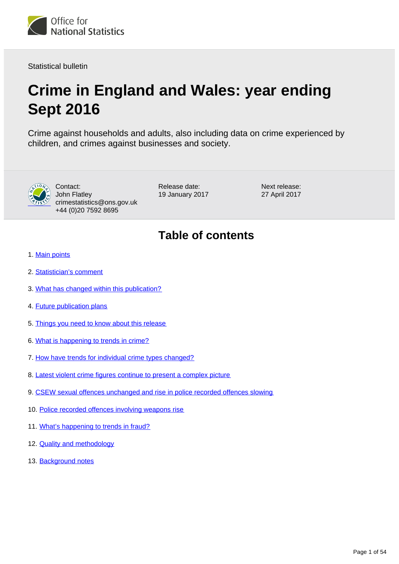

Statistical bulletin

# **Crime in England and Wales: year ending Sept 2016**

Crime against households and adults, also including data on crime experienced by children, and crimes against businesses and society.



Contact: John Flatley crimestatistics@ons.gov.uk +44 (0)20 7592 8695

Release date: 19 January 2017 Next release: 27 April 2017

## **Table of contents**

- 1. [Main points](#page-1-0)
- 2. [Statistician's comment](#page-1-1)
- 3. [What has changed within this publication?](#page-1-2)
- 4. [Future publication plans](#page-2-0)
- 5. [Things you need to know about this release](#page-3-0)
- 6. [What is happening to trends in crime?](#page-4-0)
- 7. [How have trends for individual crime types changed?](#page-8-0)
- 8. [Latest violent crime figures continue to present a complex picture](#page-23-0)
- 9. [CSEW sexual offences unchanged and rise in police recorded offences slowing](#page-30-0)
- 10. [Police recorded offences involving weapons rise](#page-34-0)
- 11. [What's happening to trends in fraud?](#page-41-0)
- 12. [Quality and methodology](#page-47-0)
- 13. Background notes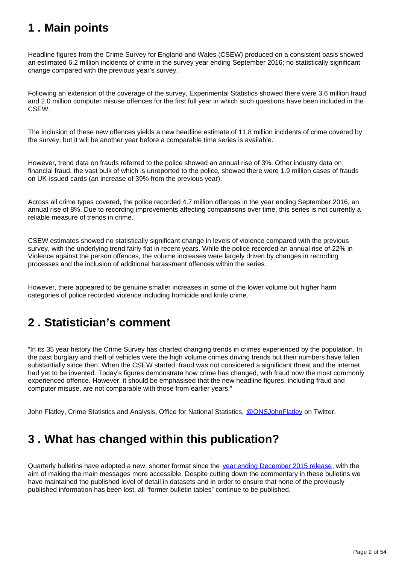## <span id="page-1-0"></span>**1 . Main points**

Headline figures from the Crime Survey for England and Wales (CSEW) produced on a consistent basis showed an estimated 6.2 million incidents of crime in the survey year ending September 2016; no statistically significant change compared with the previous year's survey.

Following an extension of the coverage of the survey, Experimental Statistics showed there were 3.6 million fraud and 2.0 million computer misuse offences for the first full year in which such questions have been included in the CSEW.

The inclusion of these new offences yields a new headline estimate of 11.8 million incidents of crime covered by the survey, but it will be another year before a comparable time series is available.

However, trend data on frauds referred to the police showed an annual rise of 3%. Other industry data on financial fraud, the vast bulk of which is unreported to the police, showed there were 1.9 million cases of frauds on UK-issued cards (an increase of 39% from the previous year).

Across all crime types covered, the police recorded 4.7 million offences in the year ending September 2016, an annual rise of 8%. Due to recording improvements affecting comparisons over time, this series is not currently a reliable measure of trends in crime.

CSEW estimates showed no statistically significant change in levels of violence compared with the previous survey, with the underlying trend fairly flat in recent years. While the police recorded an annual rise of 22% in Violence against the person offences, the volume increases were largely driven by changes in recording processes and the inclusion of additional harassment offences within the series.

However, there appeared to be genuine smaller increases in some of the lower volume but higher harm categories of police recorded violence including homicide and knife crime.

## <span id="page-1-1"></span>**2 . Statistician's comment**

"In its 35 year history the Crime Survey has charted changing trends in crimes experienced by the population. In the past burglary and theft of vehicles were the high volume crimes driving trends but their numbers have fallen substantially since then. When the CSEW started, fraud was not considered a significant threat and the internet had yet to be invented. Today's figures demonstrate how crime has changed, with fraud now the most commonly experienced offence. However, it should be emphasised that the new headline figures, including fraud and computer misuse, are not comparable with those from earlier years."

John Flatley, Crime Statistics and Analysis, Office for National Statistics, [@ONSJohnFlatley](https://twitter.com/ONSJohnFlatley) on Twitter.

## <span id="page-1-2"></span>**3 . What has changed within this publication?**

Quarterly bulletins have adopted a new, shorter format since the [year ending December 2015 release,](http://www.ons.gov.uk/peoplepopulationandcommunity/crimeandjustice/bulletins/crimeinenglandandwales/yearendingdecember2015) with the aim of making the main messages more accessible. Despite cutting down the commentary in these bulletins we have maintained the published level of detail in datasets and in order to ensure that none of the previously published information has been lost, all "former bulletin tables" continue to be published.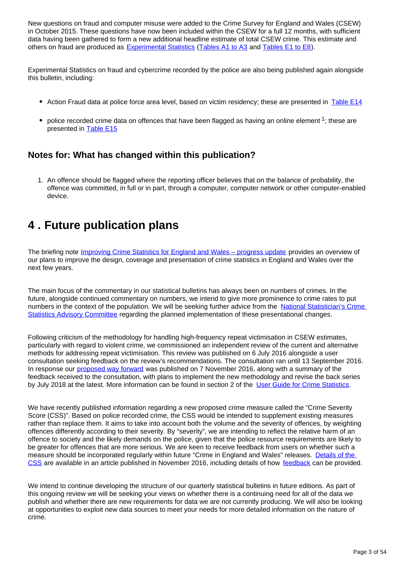New questions on fraud and computer misuse were added to the Crime Survey for England and Wales (CSEW) in October 2015. These questions have now been included within the CSEW for a full 12 months, with sufficient data having been gathered to form a new additional headline estimate of total CSEW crime. This estimate and others on fraud are produced as [Experimental Statistics](https://www.ons.gov.uk/methodology/methodologytopicsandstatisticalconcepts/guidetoexperimentalstatistics) [\(Tables A1 to A3](https://www.ons.gov.uk/peoplepopulationandcommunity/crimeandjustice/datasets/crimeinenglandandwalesappendixtables) and [Tables E1 to E8](https://www.ons.gov.uk/peoplepopulationandcommunity/crimeandjustice/datasets/crimeinenglandandwalesexperimentaltables)).

Experimental Statistics on fraud and cybercrime recorded by the police are also being published again alongside this bulletin, including:

- Action Fraud data at police force area level, based on victim residency; these are presented in [Table E14](https://www.ons.gov.uk/peoplepopulationandcommunity/crimeandjustice/datasets/crimeinenglandandwalesexperimentaltables)
- police recorded crime data on offences that have been flagged as having an online element  $1$ ; these are presented in [Table E15](https://www.ons.gov.uk/peoplepopulationandcommunity/crimeandjustice/datasets/crimeinenglandandwalesexperimentaltables)

### **Notes for: What has changed within this publication?**

1. An offence should be flagged where the reporting officer believes that on the balance of probability, the offence was committed, in full or in part, through a computer, computer network or other computer-enabled device.

## <span id="page-2-0"></span>**4 . Future publication plans**

The briefing note [Improving Crime Statistics for England and Wales – progress update](https://www.ons.gov.uk/peoplepopulationandcommunity/crimeandjustice/methodologies/improvingcrimestatisticsforenglandandwalesprogressupdate) provides an overview of our plans to improve the design, coverage and presentation of crime statistics in England and Wales over the next few years.

The main focus of the commentary in our statistical bulletins has always been on numbers of crimes. In the future, alongside continued commentary on numbers, we intend to give more prominence to crime rates to put numbers in the context of the population. We will be seeking further advice from the [National Statistician's Crime](https://www.statisticsauthority.gov.uk/national-statistician/ns-reports-reviews-guidance-and-advisory-committees/national-statisticians-advisory-committees/crime-statistics-advisory-committee/)  [Statistics Advisory Committee](https://www.statisticsauthority.gov.uk/national-statistician/ns-reports-reviews-guidance-and-advisory-committees/national-statisticians-advisory-committees/crime-statistics-advisory-committee/) regarding the planned implementation of these presentational changes.

Following criticism of the methodology for handling high-frequency repeat victimisation in CSEW estimates, particularly with regard to violent crime, we commissioned an independent review of the current and alternative methods for addressing repeat victimisation. This review was published on 6 July 2016 alongside a user consultation seeking feedback on the review's recommendations. The consultation ran until 13 September 2016. In response our [proposed way forward](https://www.ons.gov.uk/aboutus/whatwedo/statistics/consultationsandsurveys/allconsultationsandsurveys/reviewofmethodologyforaddressinghighfrequencyrepeatvictimisationincrimesurveyforenglandandwalesestimates) was published on 7 November 2016, along with a summary of the feedback received to the consultation, with plans to implement the new methodology and revise the back series by July 2018 at the latest. More information can be found in section 2 of the [User Guide for Crime Statistics.](https://www.ons.gov.uk/peoplepopulationandcommunity/crimeandjustice/methodologies/crimeandjusticemethodology)

We have recently published information regarding a new proposed crime measure called the "Crime Severity" Score (CSS)". Based on police recorded crime, the CSS would be intended to supplement existing measures rather than replace them. It aims to take into account both the volume and the severity of offences, by weighting offences differently according to their severity. By "severity", we are intending to reflect the relative harm of an offence to society and the likely demands on the police, given that the police resource requirements are likely to be greater for offences that are more serious. We are keen to receive feedback from users on whether such a measure should be incorporated regularly within future "Crime in England and Wales" releases. [Details of the](https://www.ons.gov.uk/peoplepopulationandcommunity/crimeandjustice/articles/researchoutputsdevelopingacrimeseverityscoreforenglandandwalesusingdataoncrimesrecordedbythepolice/2016-11-29)  [CSS](https://www.ons.gov.uk/peoplepopulationandcommunity/crimeandjustice/articles/researchoutputsdevelopingacrimeseverityscoreforenglandandwalesusingdataoncrimesrecordedbythepolice/2016-11-29) are available in an article published in November 2016, including details of how [feedback](https://www.ons.gov.uk/peoplepopulationandcommunity/crimeandjustice/articles/researchoutputsdevelopingacrimeseverityscoreforenglandandwalesusingdataoncrimesrecordedbythepolice/2016-11-29#feedback) can be provided.

We intend to continue developing the structure of our quarterly statistical bulletins in future editions. As part of this ongoing review we will be seeking your views on whether there is a continuing need for all of the data we publish and whether there are new requirements for data we are not currently producing. We will also be looking at opportunities to exploit new data sources to meet your needs for more detailed information on the nature of crime.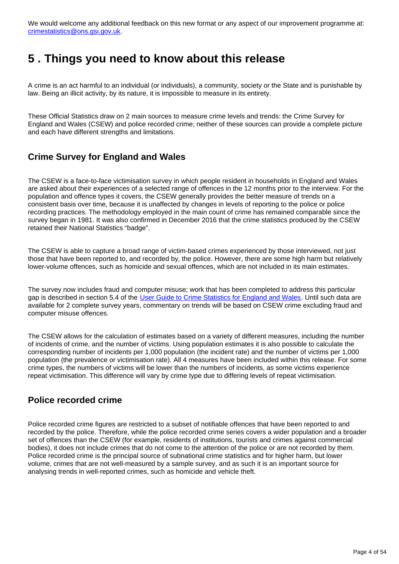We would welcome any additional feedback on this new format or any aspect of our improvement programme at: crimestatistics@ons.gsi.gov.uk.

## <span id="page-3-0"></span>**5 . Things you need to know about this release**

A crime is an act harmful to an individual (or individuals), a community, society or the State and is punishable by law. Being an illicit activity, by its nature, it is impossible to measure in its entirety.

These Official Statistics draw on 2 main sources to measure crime levels and trends: the Crime Survey for England and Wales (CSEW) and police recorded crime; neither of these sources can provide a complete picture and each have different strengths and limitations.

#### **Crime Survey for England and Wales**

The CSEW is a face-to-face victimisation survey in which people resident in households in England and Wales are asked about their experiences of a selected range of offences in the 12 months prior to the interview. For the population and offence types it covers, the CSEW generally provides the better measure of trends on a consistent basis over time, because it is unaffected by changes in levels of reporting to the police or police recording practices. The methodology employed in the main count of crime has remained comparable since the survey began in 1981. It was also confirmed in December 2016 that the crime statistics produced by the CSEW retained their National Statistics "badge".

The CSEW is able to capture a broad range of victim-based crimes experienced by those interviewed, not just those that have been reported to, and recorded by, the police. However, there are some high harm but relatively lower-volume offences, such as homicide and sexual offences, which are not included in its main estimates.

The survey now includes fraud and computer misuse; work that has been completed to address this particular gap is described in section 5.4 of the [User Guide to Crime Statistics for England and Wales.](http://www.ons.gov.uk/peoplepopulationandcommunity/crimeandjustice/methodologies/crimeandjusticemethodology) Until such data are available for 2 complete survey years, commentary on trends will be based on CSEW crime excluding fraud and computer misuse offences.

The CSEW allows for the calculation of estimates based on a variety of different measures, including the number of incidents of crime, and the number of victims. Using population estimates it is also possible to calculate the corresponding number of incidents per 1,000 population (the incident rate) and the number of victims per 1,000 population (the prevalence or victimisation rate). All 4 measures have been included within this release. For some crime types, the numbers of victims will be lower than the numbers of incidents, as some victims experience repeat victimisation. This difference will vary by crime type due to differing levels of repeat victimisation.

#### **Police recorded crime**

Police recorded crime figures are restricted to a subset of notifiable offences that have been reported to and recorded by the police. Therefore, while the police recorded crime series covers a wider population and a broader set of offences than the CSEW (for example, residents of institutions, tourists and crimes against commercial bodies), it does not include crimes that do not come to the attention of the police or are not recorded by them. Police recorded crime is the principal source of subnational crime statistics and for higher harm, but lower volume, crimes that are not well-measured by a sample survey, and as such it is an important source for analysing trends in well-reported crimes, such as homicide and vehicle theft.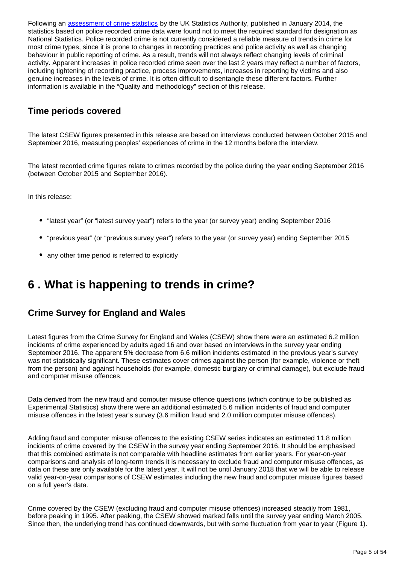Following an [assessment of crime statistics](http://www.statisticsauthority.gov.uk/assessment/assessment/assessment-reports/assessment-report-268---statistics-on-crime-in-england-and-wales.pdf) by the UK Statistics Authority, published in January 2014, the statistics based on police recorded crime data were found not to meet the required standard for designation as National Statistics. Police recorded crime is not currently considered a reliable measure of trends in crime for most crime types, since it is prone to changes in recording practices and police activity as well as changing behaviour in public reporting of crime. As a result, trends will not always reflect changing levels of criminal activity. Apparent increases in police recorded crime seen over the last 2 years may reflect a number of factors, including tightening of recording practice, process improvements, increases in reporting by victims and also genuine increases in the levels of crime. It is often difficult to disentangle these different factors. Further information is available in the "Quality and methodology" section of this release.

#### **Time periods covered**

The latest CSEW figures presented in this release are based on interviews conducted between October 2015 and September 2016, measuring peoples' experiences of crime in the 12 months before the interview.

The latest recorded crime figures relate to crimes recorded by the police during the year ending September 2016 (between October 2015 and September 2016).

In this release:

- "latest year" (or "latest survey year") refers to the year (or survey year) ending September 2016
- "previous year" (or "previous survey year") refers to the year (or survey year) ending September 2015
- any other time period is referred to explicitly

## <span id="page-4-0"></span>**6 . What is happening to trends in crime?**

### **Crime Survey for England and Wales**

Latest figures from the Crime Survey for England and Wales (CSEW) show there were an estimated 6.2 million incidents of crime experienced by adults aged 16 and over based on interviews in the survey year ending September 2016. The apparent 5% decrease from 6.6 million incidents estimated in the previous year's survey was not statistically significant. These estimates cover crimes against the person (for example, violence or theft from the person) and against households (for example, domestic burglary or criminal damage), but exclude fraud and computer misuse offences.

Data derived from the new fraud and computer misuse offence questions (which continue to be published as Experimental Statistics) show there were an additional estimated 5.6 million incidents of fraud and computer misuse offences in the latest year's survey (3.6 million fraud and 2.0 million computer misuse offences).

Adding fraud and computer misuse offences to the existing CSEW series indicates an estimated 11.8 million incidents of crime covered by the CSEW in the survey year ending September 2016. It should be emphasised that this combined estimate is not comparable with headline estimates from earlier years. For year-on-year comparisons and analysis of long-term trends it is necessary to exclude fraud and computer misuse offences, as data on these are only available for the latest year. It will not be until January 2018 that we will be able to release valid year-on-year comparisons of CSEW estimates including the new fraud and computer misuse figures based on a full year's data.

Crime covered by the CSEW (excluding fraud and computer misuse offences) increased steadily from 1981, before peaking in 1995. After peaking, the CSEW showed marked falls until the survey year ending March 2005. Since then, the underlying trend has continued downwards, but with some fluctuation from year to year (Figure 1).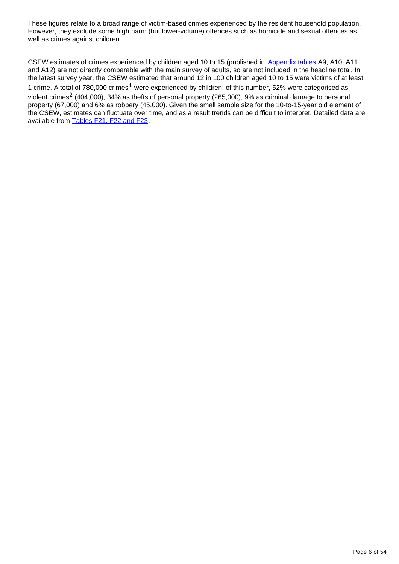These figures relate to a broad range of victim-based crimes experienced by the resident household population. However, they exclude some high harm (but lower-volume) offences such as homicide and sexual offences as well as crimes against children.

CSEW estimates of crimes experienced by children aged 10 to 15 (published in [Appendix tables](https://www.ons.gov.uk/peoplepopulationandcommunity/crimeandjustice/datasets/crimeinenglandandwalesappendixtables) A9, A10, A11 and A12) are not directly comparable with the main survey of adults, so are not included in the headline total. In the latest survey year, the CSEW estimated that around 12 in 100 children aged 10 to 15 were victims of at least 1 crime. A total of  $780,000$  crimes<sup>1</sup> were experienced by children; of this number, 52% were categorised as violent crimes<sup>2</sup> (404,000), 34% as thefts of personal property (265,000), 9% as criminal damage to personal property (67,000) and 6% as robbery (45,000). Given the small sample size for the 10-to-15-year old element of the CSEW, estimates can fluctuate over time, and as a result trends can be difficult to interpret. Detailed data are available from [Tables F21, F22 and F23](https://www.ons.gov.uk/peoplepopulationandcommunity/crimeandjustice/datasets/crimeinenglandandwalesbulletintables).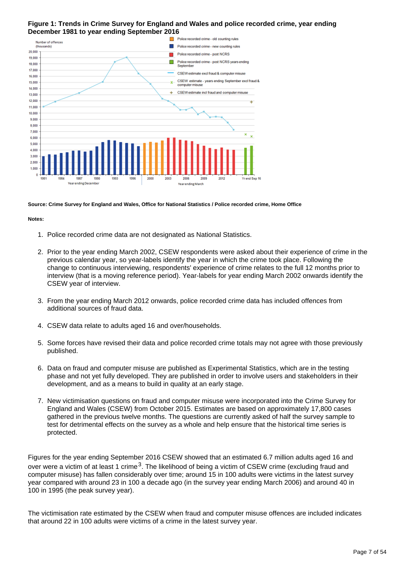#### **Figure 1: Trends in Crime Survey for England and Wales and police recorded crime, year ending December 1981 to year ending September 2016**



**Source: Crime Survey for England and Wales, Office for National Statistics / Police recorded crime, Home Office**

#### **Notes:**

- 1. Police recorded crime data are not designated as National Statistics.
- 2. Prior to the year ending March 2002, CSEW respondents were asked about their experience of crime in the previous calendar year, so year-labels identify the year in which the crime took place. Following the change to continuous interviewing, respondents' experience of crime relates to the full 12 months prior to interview (that is a moving reference period). Year-labels for year ending March 2002 onwards identify the CSEW year of interview.
- 3. From the year ending March 2012 onwards, police recorded crime data has included offences from additional sources of fraud data.
- 4. CSEW data relate to adults aged 16 and over/households.
- 5. Some forces have revised their data and police recorded crime totals may not agree with those previously published.
- 6. Data on fraud and computer misuse are published as Experimental Statistics, which are in the testing phase and not yet fully developed. They are published in order to involve users and stakeholders in their development, and as a means to build in quality at an early stage.
- 7. New victimisation questions on fraud and computer misuse were incorporated into the Crime Survey for England and Wales (CSEW) from October 2015. Estimates are based on approximately 17,800 cases gathered in the previous twelve months. The questions are currently asked of half the survey sample to test for detrimental effects on the survey as a whole and help ensure that the historical time series is protected.

Figures for the year ending September 2016 CSEW showed that an estimated 6.7 million adults aged 16 and over were a victim of at least 1 crime<sup>3</sup>. The likelihood of being a victim of CSEW crime (excluding fraud and computer misuse) has fallen considerably over time; around 15 in 100 adults were victims in the latest survey year compared with around 23 in 100 a decade ago (in the survey year ending March 2006) and around 40 in 100 in 1995 (the peak survey year).

The victimisation rate estimated by the CSEW when fraud and computer misuse offences are included indicates that around 22 in 100 adults were victims of a crime in the latest survey year.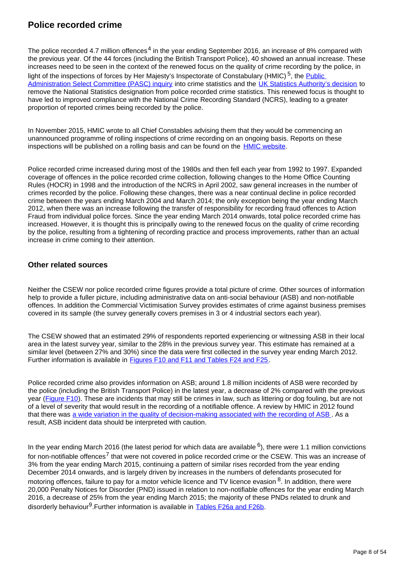### **Police recorded crime**

The police recorded 4.7 million offences<sup>4</sup> in the year ending September 2016, an increase of 8% compared with the previous year. Of the 44 forces (including the British Transport Police), 40 showed an annual increase. These increases need to be seen in the context of the renewed focus on the quality of crime recording by the police, in light of the inspections of forces by Her Majesty's Inspectorate of Constabulary (HMIC)<sup>5</sup>, the **Public** [Administration Select Committee \(PASC\) inquiry](http://www.publications.parliament.uk/pa/cm201314/cmselect/cmpubadm/760/760.pdf) into crime statistics and the [UK Statistics Authority's decision](http://www.statisticsauthority.gov.uk/assessment/assessment/assessment-reports/assessment-report-268---statistics-on-crime-in-england-and-wales.pdf) to remove the National Statistics designation from police recorded crime statistics. This renewed focus is thought to have led to improved compliance with the National Crime Recording Standard (NCRS), leading to a greater proportion of reported crimes being recorded by the police.

In November 2015, HMIC wrote to all Chief Constables advising them that they would be commencing an unannounced programme of rolling inspections of crime recording on an ongoing basis. Reports on these inspections will be published on a rolling basis and can be found on the [HMIC website](https://www.justiceinspectorates.gov.uk/hmic/publications/rolling-cdi-programme-reports/).

Police recorded crime increased during most of the 1980s and then fell each year from 1992 to 1997. Expanded coverage of offences in the police recorded crime collection, following changes to the Home Office Counting Rules (HOCR) in 1998 and the introduction of the NCRS in April 2002, saw general increases in the number of crimes recorded by the police. Following these changes, there was a near continual decline in police recorded crime between the years ending March 2004 and March 2014; the only exception being the year ending March 2012, when there was an increase following the transfer of responsibility for recording fraud offences to Action Fraud from individual police forces. Since the year ending March 2014 onwards, total police recorded crime has increased. However, it is thought this is principally owing to the renewed focus on the quality of crime recording by the police, resulting from a tightening of recording practice and process improvements, rather than an actual increase in crime coming to their attention.

#### **Other related sources**

Neither the CSEW nor police recorded crime figures provide a total picture of crime. Other sources of information help to provide a fuller picture, including administrative data on anti-social behaviour (ASB) and non-notifiable offences. In addition the Commercial Victimisation Survey provides estimates of crime against business premises covered in its sample (the survey generally covers premises in 3 or 4 industrial sectors each year).

The CSEW showed that an estimated 29% of respondents reported experiencing or witnessing ASB in their local area in the latest survey year, similar to the 28% in the previous survey year. This estimate has remained at a similar level (between 27% and 30%) since the data were first collected in the survey year ending March 2012. Further information is available in **[Figures F10 and F11 and Tables F24 and F25](https://www.ons.gov.uk/peoplepopulationandcommunity/crimeandjustice/datasets/crimeinenglandandwalesbulletintables)**.

Police recorded crime also provides information on ASB; around 1.8 million incidents of ASB were recorded by the police (including the British Transport Police) in the latest year, a decrease of 2% compared with the previous year ([Figure F10\)](https://www.ons.gov.uk/peoplepopulationandcommunity/crimeandjustice/datasets/crimeinenglandandwalesbulletintables). These are incidents that may still be crimes in law, such as littering or dog fouling, but are not of a level of severity that would result in the recording of a notifiable offence. A review by HMIC in 2012 found that there was [a wide variation in the quality of decision-making associated with the recording of ASB](http://www.justiceinspectorates.gov.uk/hmic/publication/a-step-in-the-right-direction-the-policing-of-anti-social-behaviour/). As a result, ASB incident data should be interpreted with caution.

In the year ending March 2016 (the latest period for which data are available  $6$ ), there were 1.1 million convictions for non-notifiable offences<sup>7</sup> that were not covered in police recorded crime or the CSEW. This was an increase of 3% from the year ending March 2015, continuing a pattern of similar rises recorded from the year ending December 2014 onwards, and is largely driven by increases in the numbers of defendants prosecuted for motoring offences, failure to pay for a motor vehicle licence and TV licence evasion  $8$ . In addition, there were 20,000 Penalty Notices for Disorder (PND) issued in relation to non-notifiable offences for the year ending March 2016, a decrease of 25% from the year ending March 2015; the majority of these PNDs related to drunk and disorderly behaviour<sup>9</sup>.Further information is available in Tables F26a and F26b.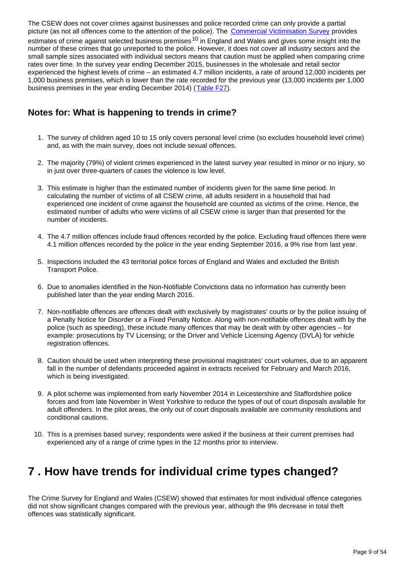The CSEW does not cover crimes against businesses and police recorded crime can only provide a partial picture (as not all offences come to the attention of the police). The [Commercial Victimisation Survey](https://www.gov.uk/government/statistics/crime-against-businesses-findings-from-the-2015-commercial-victimisation-survey) provides estimates of crime against selected business premises<sup>10</sup> in England and Wales and gives some insight into the number of these crimes that go unreported to the police. However, it does not cover all industry sectors and the small sample sizes associated with individual sectors means that caution must be applied when comparing crime rates over time. In the survey year ending December 2015, businesses in the wholesale and retail sector experienced the highest levels of crime – an estimated 4.7 million incidents, a rate of around 12,000 incidents per 1,000 business premises, which is lower than the rate recorded for the previous year (13,000 incidents per 1,000 business premises in the year ending December 2014) ([Table F27](https://www.ons.gov.uk/peoplepopulationandcommunity/crimeandjustice/datasets/crimeinenglandandwalesbulletintables)).

### **Notes for: What is happening to trends in crime?**

- 1. The survey of children aged 10 to 15 only covers personal level crime (so excludes household level crime) and, as with the main survey, does not include sexual offences.
- 2. The majority (79%) of violent crimes experienced in the latest survey year resulted in minor or no injury, so in just over three-quarters of cases the violence is low level.
- 3. This estimate is higher than the estimated number of incidents given for the same time period. In calculating the number of victims of all CSEW crime, all adults resident in a household that had experienced one incident of crime against the household are counted as victims of the crime. Hence, the estimated number of adults who were victims of all CSEW crime is larger than that presented for the number of incidents.
- 4. The 4.7 million offences include fraud offences recorded by the police. Excluding fraud offences there were 4.1 million offences recorded by the police in the year ending September 2016, a 9% rise from last year.
- 5. Inspections included the 43 territorial police forces of England and Wales and excluded the British Transport Police.
- 6. Due to anomalies identified in the Non-Notifiable Convictions data no information has currently been published later than the year ending March 2016.
- 7. Non-notifiable offences are offences dealt with exclusively by magistrates' courts or by the police issuing of a Penalty Notice for Disorder or a Fixed Penalty Notice. Along with non-notifiable offences dealt with by the police (such as speeding), these include many offences that may be dealt with by other agencies – for example: prosecutions by TV Licensing; or the Driver and Vehicle Licensing Agency (DVLA) for vehicle registration offences.
- 8. Caution should be used when interpreting these provisional magistrates' court volumes, due to an apparent fall in the number of defendants proceeded against in extracts received for February and March 2016, which is being investigated.
- 9. A pilot scheme was implemented from early November 2014 in Leicestershire and Staffordshire police forces and from late November in West Yorkshire to reduce the types of out of court disposals available for adult offenders. In the pilot areas, the only out of court disposals available are community resolutions and conditional cautions.
- 10. This is a premises based survey; respondents were asked if the business at their current premises had experienced any of a range of crime types in the 12 months prior to interview.

## <span id="page-8-0"></span>**7 . How have trends for individual crime types changed?**

The Crime Survey for England and Wales (CSEW) showed that estimates for most individual offence categories did not show significant changes compared with the previous year, although the 9% decrease in total theft offences was statistically significant.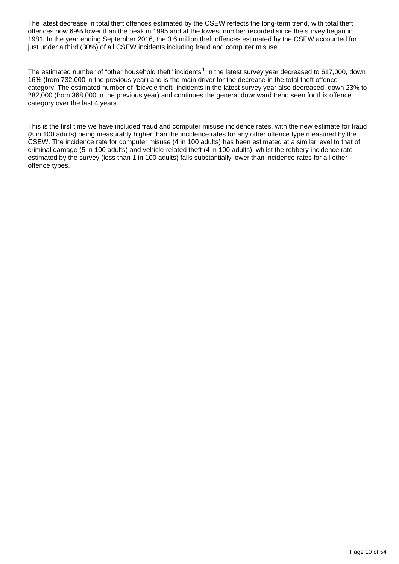The latest decrease in total theft offences estimated by the CSEW reflects the long-term trend, with total theft offences now 69% lower than the peak in 1995 and at the lowest number recorded since the survey began in 1981. In the year ending September 2016, the 3.6 million theft offences estimated by the CSEW accounted for just under a third (30%) of all CSEW incidents including fraud and computer misuse.

The estimated number of "other household theft" incidents<sup>1</sup> in the latest survey year decreased to 617,000, down 16% (from 732,000 in the previous year) and is the main driver for the decrease in the total theft offence category. The estimated number of "bicycle theft" incidents in the latest survey year also decreased, down 23% to 282,000 (from 368,000 in the previous year) and continues the general downward trend seen for this offence category over the last 4 years.

This is the first time we have included fraud and computer misuse incidence rates, with the new estimate for fraud (8 in 100 adults) being measurably higher than the incidence rates for any other offence type measured by the CSEW. The incidence rate for computer misuse (4 in 100 adults) has been estimated at a similar level to that of criminal damage (5 in 100 adults) and vehicle-related theft (4 in 100 adults), whilst the robbery incidence rate estimated by the survey (less than 1 in 100 adults) falls substantially lower than incidence rates for all other offence types.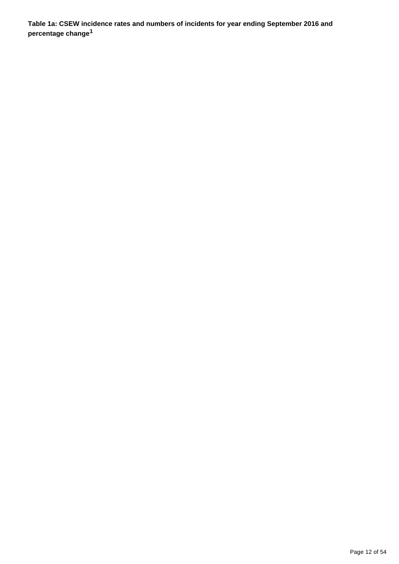**Table 1a: CSEW incidence rates and numbers of incidents for year ending September 2016 and percentage change<sup>1</sup>**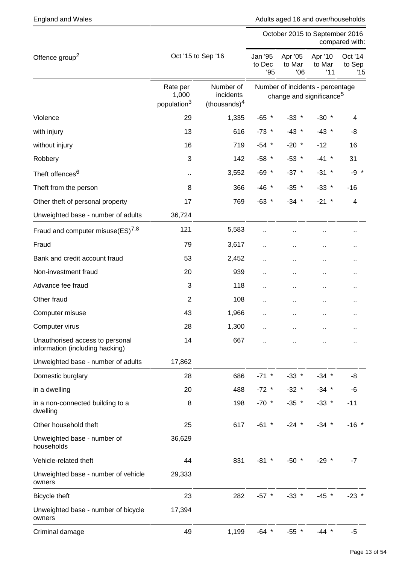England and Wales **Adults aged 16 and over/households** Adults aged 16 and over/households

|                                                                    |                                              |                                                    | October 2015 to September 2016<br>compared with: |                                                                          |                          |         |  |
|--------------------------------------------------------------------|----------------------------------------------|----------------------------------------------------|--------------------------------------------------|--------------------------------------------------------------------------|--------------------------|---------|--|
| Offence group <sup>2</sup>                                         | Oct '15 to Sep '16                           | Jan '95<br>to Dec<br>'95                           | Apr '05<br>to Mar<br>'06                         | Apr '10<br>to Mar<br>'11                                                 | Oct '14<br>to Sep<br>'15 |         |  |
|                                                                    | Rate per<br>1,000<br>population <sup>3</sup> | Number of<br>incidents<br>(thousands) <sup>4</sup> |                                                  | Number of incidents - percentage<br>change and significance <sup>5</sup> |                          |         |  |
| Violence                                                           | 29                                           | 1,335                                              | $-65$ *                                          | $-33$ *                                                                  | $-30$ *                  | 4       |  |
| with injury                                                        | 13                                           | 616                                                | $-73$ *                                          | $-43$ *                                                                  | $-43$ *                  | -8      |  |
| without injury                                                     | 16                                           | 719                                                | $-54$ *                                          | $-20$ *                                                                  | $-12$                    | 16      |  |
| Robbery                                                            | 3                                            | 142                                                | $-58$ *                                          | $-53$ *                                                                  | $-41$ *                  | 31      |  |
| Theft offences <sup>6</sup>                                        | $\ddot{\phantom{1}}$                         | 3,552                                              | $-69$ *                                          | $-37$ *                                                                  | $-31$ *                  | $-9 *$  |  |
| Theft from the person                                              | 8                                            | 366                                                | $-46$ *                                          | $-35$ *                                                                  | $-33$ *                  | $-16$   |  |
| Other theft of personal property                                   | 17                                           | 769                                                | $-63$ *                                          | $-34$ *                                                                  | $-21$ *                  | 4       |  |
| Unweighted base - number of adults                                 | 36,724                                       |                                                    |                                                  |                                                                          |                          |         |  |
| Fraud and computer misuse $(ES)^{7,8}$                             | 121                                          | 5,583                                              |                                                  |                                                                          | ш                        | ٠.      |  |
| Fraud                                                              | 79                                           | 3,617                                              | .,                                               |                                                                          | ш                        | ٠.      |  |
| Bank and credit account fraud                                      | 53                                           | 2,452                                              | .,                                               |                                                                          | ٠.                       | ٠.      |  |
| Non-investment fraud                                               | 20                                           | 939                                                | ٠.                                               | .,                                                                       | Ω,                       | .,      |  |
| Advance fee fraud                                                  | 3                                            | 118                                                | ٠.                                               |                                                                          | ш                        | ٠.      |  |
| Other fraud                                                        | $\overline{2}$                               | 108                                                |                                                  |                                                                          | н,                       |         |  |
| Computer misuse                                                    | 43                                           | 1,966                                              | . .                                              | Ω,                                                                       | ò.                       | ٠.      |  |
| Computer virus                                                     | 28                                           | 1,300                                              | ò.                                               | ٠.                                                                       | ٠.                       |         |  |
| Unauthorised access to personal<br>information (including hacking) | 14                                           | 667                                                |                                                  |                                                                          |                          |         |  |
| Unweighted base - number of adults                                 | 17,862                                       |                                                    |                                                  |                                                                          |                          |         |  |
| Domestic burglary                                                  | 28                                           | 686                                                | $-71$ *                                          | $-33$ *                                                                  | $-34$ *                  | -8      |  |
| in a dwelling                                                      | 20                                           | 488                                                | $-72$ *                                          | $-32$ *                                                                  | $-34$ *                  | $-6$    |  |
| in a non-connected building to a<br>dwelling                       | 8                                            | 198                                                | $-70$ *                                          | $-35$ *                                                                  | $-33$ *                  | $-11$   |  |
| Other household theft                                              | 25                                           | 617                                                | $-61$ *                                          | $-24$ *                                                                  | $-34$ *                  | $-16$ * |  |
| Unweighted base - number of<br>households                          | 36,629                                       |                                                    |                                                  |                                                                          |                          |         |  |
| Vehicle-related theft                                              | 44                                           | 831                                                | $-81$ *                                          | $-50$ *                                                                  | $-29$ *                  | $-7$    |  |
| Unweighted base - number of vehicle<br>owners                      | 29,333                                       |                                                    |                                                  |                                                                          |                          |         |  |
| Bicycle theft                                                      | 23                                           | 282                                                | $-57$ *                                          | $-33$ *                                                                  | $-45$ *                  | $-23$ * |  |
| Unweighted base - number of bicycle<br>owners                      | 17,394                                       |                                                    |                                                  |                                                                          |                          |         |  |
| Criminal damage                                                    | 49                                           | 1,199                                              | $-64$ *                                          | $-55$ *                                                                  | $-44$ *                  | $-5$    |  |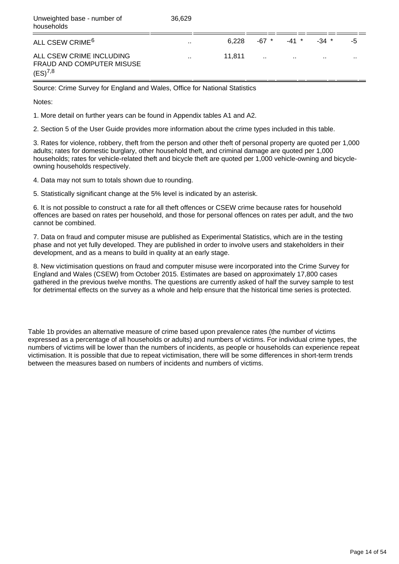| Unweighted base - number of<br>households                                    | 36,629               |        |        |             |         |              |
|------------------------------------------------------------------------------|----------------------|--------|--------|-------------|---------|--------------|
| ALL CSEW CRIME <sup>6</sup>                                                  | $\mathbf{r}$         | 6.228  |        | -67 * -41 * | $-34$ * | -5           |
| ALL CSEW CRIME INCLUDING<br><b>FRAUD AND COMPUTER MISUSE</b><br>$(ES)^{7,8}$ | $\ddot{\phantom{a}}$ | 11.811 | $\sim$ | $\sim$      | $\sim$  | $\mathbf{r}$ |

Source: Crime Survey for England and Wales, Office for National Statistics

Notes:

1. More detail on further years can be found in Appendix tables A1 and A2.

2. Section 5 of the User Guide provides more information about the crime types included in this table.

3. Rates for violence, robbery, theft from the person and other theft of personal property are quoted per 1,000 adults; rates for domestic burglary, other household theft, and criminal damage are quoted per 1,000 households; rates for vehicle-related theft and bicycle theft are quoted per 1,000 vehicle-owning and bicycleowning households respectively.

4. Data may not sum to totals shown due to rounding.

5. Statistically significant change at the 5% level is indicated by an asterisk.

6. It is not possible to construct a rate for all theft offences or CSEW crime because rates for household offences are based on rates per household, and those for personal offences on rates per adult, and the two cannot be combined.

7. Data on fraud and computer misuse are published as Experimental Statistics, which are in the testing phase and not yet fully developed. They are published in order to involve users and stakeholders in their development, and as a means to build in quality at an early stage.

8. New victimisation questions on fraud and computer misuse were incorporated into the Crime Survey for England and Wales (CSEW) from October 2015. Estimates are based on approximately 17,800 cases gathered in the previous twelve months. The questions are currently asked of half the survey sample to test for detrimental effects on the survey as a whole and help ensure that the historical time series is protected.

Table 1b provides an alternative measure of crime based upon prevalence rates (the number of victims expressed as a percentage of all households or adults) and numbers of victims. For individual crime types, the numbers of victims will be lower than the numbers of incidents, as people or households can experience repeat victimisation. It is possible that due to repeat victimisation, there will be some differences in short-term trends between the measures based on numbers of incidents and numbers of victims.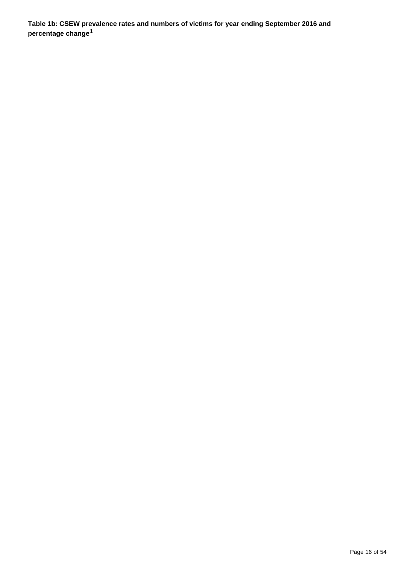**Table 1b: CSEW prevalence rates and numbers of victims for year ending September 2016 and percentage change<sup>1</sup>**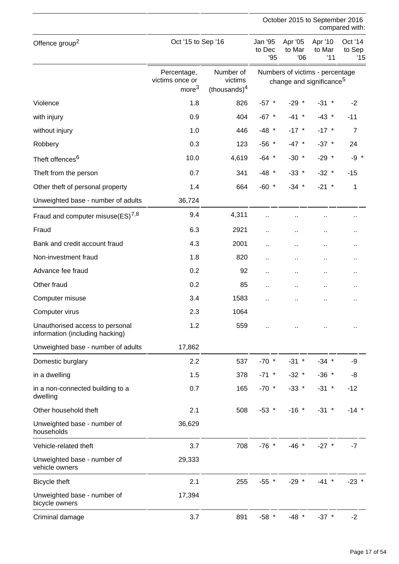|                                                                    |                                                     |                                         |                         | October 2015 to September 2016                                          |                          | compared with:           |
|--------------------------------------------------------------------|-----------------------------------------------------|-----------------------------------------|-------------------------|-------------------------------------------------------------------------|--------------------------|--------------------------|
| Oct '15 to Sep '16<br>Offence group <sup>2</sup>                   |                                                     |                                         | Jan '95<br>to Dec<br>95 | Apr '05<br>to Mar<br>06                                                 | Apr '10<br>to Mar<br>'11 | Oct '14<br>to Sep<br>'15 |
|                                                                    | Percentage,<br>victims once or<br>more <sup>3</sup> | Number of<br>victims<br>(thousands) $4$ |                         | Numbers of victims - percentage<br>change and significance <sup>5</sup> |                          |                          |
| Violence                                                           | 1.8                                                 | 826                                     | $-57$ *                 | $-29$ *                                                                 | $-31$ *                  | $-2$                     |
| with injury                                                        | 0.9                                                 | 404                                     | $-67$ *                 | $-41$ *                                                                 | $-43$ *                  | $-11$                    |
| without injury                                                     | 1.0                                                 | 446                                     | $-48$ *                 | $-17$ *                                                                 | $-17$ *                  | $\overline{7}$           |
| Robbery                                                            | 0.3                                                 | 123                                     | $-56$ *                 | $-47$ *                                                                 | $-37$ *                  | 24                       |
| Theft offences <sup>6</sup>                                        | 10.0                                                | 4,619                                   | $-64$ *                 | $-30$ *                                                                 | $-29$ *                  | $-9 *$                   |
| Theft from the person                                              | 0.7                                                 | 341                                     | $-48$ *                 | $-33$ *                                                                 | $-32$ *                  | $-15$                    |
| Other theft of personal property                                   | 1.4                                                 | 664                                     | $-60$ *                 | $-34$ *                                                                 | $-21$ *                  | $\mathbf 1$              |
| Unweighted base - number of adults                                 | 36,724                                              |                                         |                         |                                                                         |                          |                          |
| Fraud and computer misuse $(ES)^{7,8}$                             | 9.4                                                 | 4,311                                   |                         |                                                                         | $\ddot{\phantom{1}}$     | .,                       |
| Fraud                                                              | 6.3                                                 | 2921                                    | П,                      |                                                                         | $\ddot{\phantom{1}}$     | .,                       |
| Bank and credit account fraud                                      | 4.3                                                 | 2001                                    | Ω,                      |                                                                         | $\ddot{\phantom{1}}$     | .,                       |
| Non-investment fraud                                               | 1.8                                                 | 820                                     | Ω,                      | Ω,                                                                      | $\ddot{\phantom{1}}$     | Ω.                       |
| Advance fee fraud                                                  | 0.2                                                 | 92                                      |                         | .,                                                                      | $\ddot{\phantom{1}}$     | .,                       |
| Other fraud                                                        | 0.2                                                 | 85                                      | Ω,                      | $\ddot{\phantom{a}}$                                                    | $\epsilon$ .             | ٠.                       |
| Computer misuse                                                    | 3.4                                                 | 1583                                    | ä.                      |                                                                         | $\ddot{\phantom{a}}$     | .,                       |
| Computer virus                                                     | 2.3                                                 | 1064                                    |                         |                                                                         |                          |                          |
| Unauthorised access to personal<br>information (including hacking) | 1.2                                                 | 559                                     |                         |                                                                         |                          |                          |
| Unweighted base - number of adults                                 | 17,862                                              |                                         |                         |                                                                         |                          |                          |
| Domestic burglary                                                  | 2.2                                                 | 537                                     | $-70$ *                 | $-31$ *                                                                 | $-34$ *                  | -9                       |
| in a dwelling                                                      | 1.5                                                 | 378                                     | $-71$ *                 | $-32$ *                                                                 | $-36$ *                  | -8                       |
| in a non-connected building to a<br>dwelling                       | 0.7                                                 | 165                                     | $-70$ *                 | $-33$ *                                                                 | $-31$ *                  | $-12$                    |
| Other household theft                                              | 2.1                                                 | 508                                     | $-53$ *                 | $-16$ *                                                                 | $-31$ *                  | $-14$ *                  |
| Unweighted base - number of<br>households                          | 36,629                                              |                                         |                         |                                                                         |                          |                          |
| Vehicle-related theft                                              | 3.7                                                 | 708                                     | $-76$ *                 | $-46$ *                                                                 | $-27$ *                  | $-7$                     |
| Unweighted base - number of<br>vehicle owners                      | 29,333                                              |                                         |                         |                                                                         |                          |                          |
| Bicycle theft                                                      | 2.1                                                 | 255                                     | $-55$ *                 | $-29$ *                                                                 | $-41$ *                  | $-23$ *                  |
| Unweighted base - number of<br>bicycle owners                      | 17,394                                              |                                         |                         |                                                                         |                          |                          |
| Criminal damage                                                    | 3.7                                                 | 891                                     | $-58$ *                 | $-48$ *                                                                 | $-37$ *                  | $-2$                     |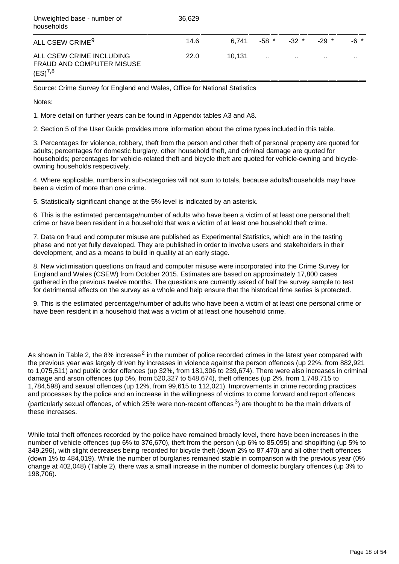| Unweighted base - number of<br>households                             | 36.629 |        |        |                     |         |          |
|-----------------------------------------------------------------------|--------|--------|--------|---------------------|---------|----------|
| ALL CSEW CRIME <sup>9</sup>                                           | 14.6   | 6.741  |        | $-58$ $*$ $-32$ $*$ | $-29$ * | -6 *     |
| ALL CSEW CRIME INCLUDING<br>FRAUD AND COMPUTER MISUSE<br>$(ES)^{7,8}$ | 22.0   | 10.131 | $\sim$ | $\cdots$            | $\sim$  | $\cdots$ |

Source: Crime Survey for England and Wales, Office for National Statistics

Notes:

1. More detail on further years can be found in Appendix tables A3 and A8.

2. Section 5 of the User Guide provides more information about the crime types included in this table.

3. Percentages for violence, robbery, theft from the person and other theft of personal property are quoted for adults; percentages for domestic burglary, other household theft, and criminal damage are quoted for households; percentages for vehicle-related theft and bicycle theft are quoted for vehicle-owning and bicycleowning households respectively.

4. Where applicable, numbers in sub-categories will not sum to totals, because adults/households may have been a victim of more than one crime.

5. Statistically significant change at the 5% level is indicated by an asterisk.

6. This is the estimated percentage/number of adults who have been a victim of at least one personal theft crime or have been resident in a household that was a victim of at least one household theft crime.

7. Data on fraud and computer misuse are published as Experimental Statistics, which are in the testing phase and not yet fully developed. They are published in order to involve users and stakeholders in their development, and as a means to build in quality at an early stage.

8. New victimisation questions on fraud and computer misuse were incorporated into the Crime Survey for England and Wales (CSEW) from October 2015. Estimates are based on approximately 17,800 cases gathered in the previous twelve months. The questions are currently asked of half the survey sample to test for detrimental effects on the survey as a whole and help ensure that the historical time series is protected.

9. This is the estimated percentage/number of adults who have been a victim of at least one personal crime or have been resident in a household that was a victim of at least one household crime.

As shown in Table 2, the 8% increase<sup>2</sup> in the number of police recorded crimes in the latest year compared with the previous year was largely driven by increases in violence against the person offences (up 22%, from 882,921 to 1,075,511) and public order offences (up 32%, from 181,306 to 239,674). There were also increases in criminal damage and arson offences (up 5%, from 520,327 to 548,674), theft offences (up 2%, from 1,748,715 to 1,784,598) and sexual offences (up 12%, from 99,615 to 112,021). Improvements in crime recording practices and processes by the police and an increase in the willingness of victims to come forward and report offences (particularly sexual offences, of which 25% were non-recent offences<sup>3</sup>) are thought to be the main drivers of these increases.

While total theft offences recorded by the police have remained broadly level, there have been increases in the number of vehicle offences (up 6% to 376,670), theft from the person (up 6% to 85,095) and shoplifting (up 5% to 349,296), with slight decreases being recorded for bicycle theft (down 2% to 87,470) and all other theft offences (down 1% to 484,019). While the number of burglaries remained stable in comparison with the previous year (0% change at 402,048) (Table 2), there was a small increase in the number of domestic burglary offences (up 3% to 198,706).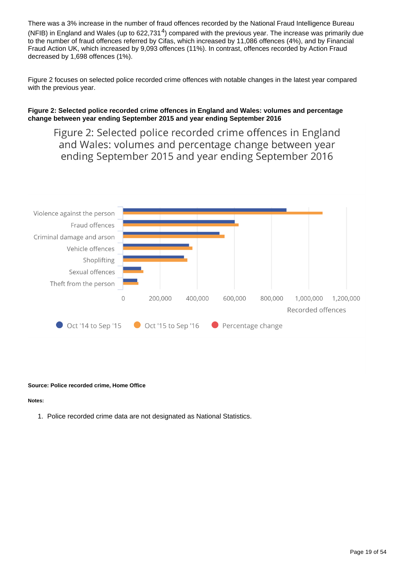There was a 3% increase in the number of fraud offences recorded by the National Fraud Intelligence Bureau (NFIB) in England and Wales (up to  $622,731<sup>4</sup>$ ) compared with the previous year. The increase was primarily due to the number of fraud offences referred by Cifas, which increased by 11,086 offences (4%), and by Financial Fraud Action UK, which increased by 9,093 offences (11%). In contrast, offences recorded by Action Fraud decreased by 1,698 offences (1%).

Figure 2 focuses on selected police recorded crime offences with notable changes in the latest year compared with the previous year.

#### **Figure 2: Selected police recorded crime offences in England and Wales: volumes and percentage change between year ending September 2015 and year ending September 2016**

Figure 2: Selected police recorded crime offences in England and Wales: volumes and percentage change between year ending September 2015 and year ending September 2016



#### **Source: Police recorded crime, Home Office**

#### **Notes:**

1. Police recorded crime data are not designated as National Statistics.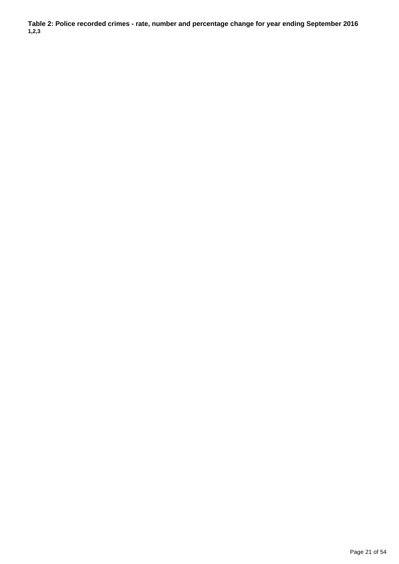**Table 2: Police recorded crimes - rate, number and percentage change for year ending September 2016 1,2,3**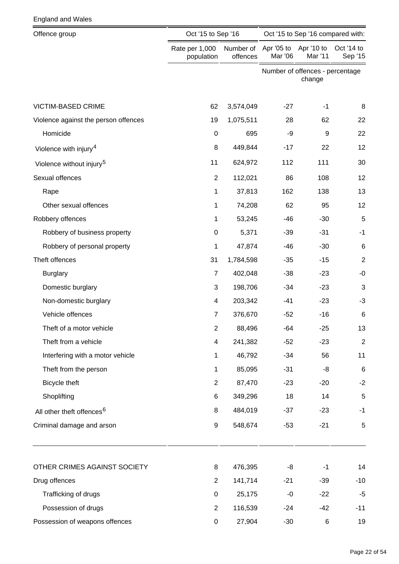| Offence group                         | Oct '15 to Sep '16           |                       | Oct '15 to Sep '16 compared with: |                                           |                       |  |
|---------------------------------------|------------------------------|-----------------------|-----------------------------------|-------------------------------------------|-----------------------|--|
|                                       | Rate per 1,000<br>population | Number of<br>offences | Apr '05 to<br>Mar '06             | Apr '10 to<br>Mar '11                     | Oct '14 to<br>Sep '15 |  |
|                                       |                              |                       |                                   | Number of offences - percentage<br>change |                       |  |
| <b>VICTIM-BASED CRIME</b>             | 62                           | 3,574,049             | $-27$                             | $-1$                                      | 8                     |  |
| Violence against the person offences  | 19                           | 1,075,511             | 28                                | 62                                        | 22                    |  |
| Homicide                              | 0                            | 695                   | -9                                | 9                                         | 22                    |  |
| Violence with injury <sup>4</sup>     | 8                            | 449,844               | $-17$                             | 22                                        | 12                    |  |
| Violence without injury <sup>5</sup>  | 11                           | 624,972               | 112                               | 111                                       | 30                    |  |
| Sexual offences                       | $\overline{c}$               | 112,021               | 86                                | 108                                       | 12                    |  |
| Rape                                  | 1                            | 37,813                | 162                               | 138                                       | 13                    |  |
| Other sexual offences                 | 1                            | 74,208                | 62                                | 95                                        | 12                    |  |
| Robbery offences                      | 1                            | 53,245                | $-46$                             | $-30$                                     | 5                     |  |
| Robbery of business property          | 0                            | 5,371                 | $-39$                             | $-31$                                     | $-1$                  |  |
| Robbery of personal property          | 1                            | 47,874                | $-46$                             | $-30$                                     | $\,6$                 |  |
| Theft offences                        | 31                           | 1,784,598             | $-35$                             | $-15$                                     | $\overline{2}$        |  |
| <b>Burglary</b>                       | $\overline{7}$               | 402,048               | $-38$                             | $-23$                                     | $-0$                  |  |
| Domestic burglary                     | 3                            | 198,706               | $-34$                             | $-23$                                     | 3                     |  |
| Non-domestic burglary                 | 4                            | 203,342               | $-41$                             | $-23$                                     | $-3$                  |  |
| Vehicle offences                      | $\overline{7}$               | 376,670               | $-52$                             | $-16$                                     | 6                     |  |
| Theft of a motor vehicle              | 2                            | 88,496                | -64                               | -25                                       | 13                    |  |
| Theft from a vehicle                  | 4                            | 241,382               | $-52$                             | $-23$                                     | $\boldsymbol{2}$      |  |
| Interfering with a motor vehicle      | 1                            | 46,792                | $-34$                             | 56                                        | 11                    |  |
| Theft from the person                 | 1                            | 85,095                | $-31$                             | -8                                        | $\,6$                 |  |
| Bicycle theft                         | $\overline{2}$               | 87,470                | $-23$                             | $-20$                                     | $-2$                  |  |
| Shoplifting                           | 6                            | 349,296               | 18                                | 14                                        | 5                     |  |
| All other theft offences <sup>6</sup> | 8                            | 484,019               | $-37$                             | $-23$                                     | $-1$                  |  |
| Criminal damage and arson             | 9                            | 548,674               | $-53$                             | $-21$                                     | 5                     |  |
| OTHER CRIMES AGAINST SOCIETY          | 8                            | 476,395               | -8                                | $-1$                                      | 14                    |  |
| Drug offences                         | $\overline{2}$               | 141,714               | $-21$                             | $-39$                                     | $-10$                 |  |
| Trafficking of drugs                  | 0                            | 25,175                | $-0$                              | $-22$                                     | $-5$                  |  |
| Possession of drugs                   | $\overline{c}$               | 116,539               | $-24$                             | $-42$                                     | $-11$                 |  |
| Possession of weapons offences        | 0                            | 27,904                | $-30$                             | 6                                         | 19                    |  |

England and Wales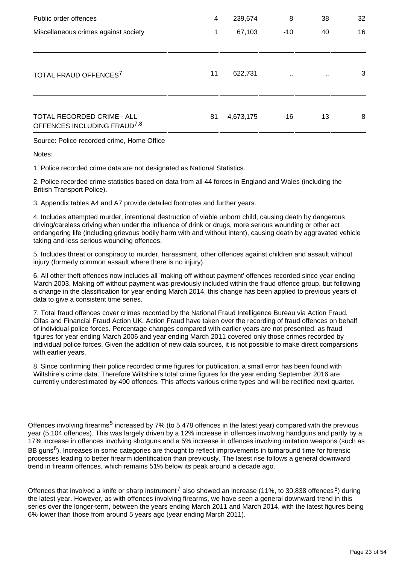| Public order offences                                                 | 4  | 239,674   | 8         | 38     | 32 |
|-----------------------------------------------------------------------|----|-----------|-----------|--------|----|
| Miscellaneous crimes against society                                  | 1  | 67,103    | $-10$     | 40     | 16 |
| TOTAL FRAUD OFFENCES <sup>7</sup>                                     | 11 | 622,731   | $\cdot$ . | $\sim$ | 3  |
| TOTAL RECORDED CRIME - ALL<br>OFFENCES INCLUDING FRAUD <sup>7,8</sup> | 81 | 4,673,175 | $-16$     | 13     | 8  |

Source: Police recorded crime, Home Office

Notes:

1. Police recorded crime data are not designated as National Statistics.

2. Police recorded crime statistics based on data from all 44 forces in England and Wales (including the British Transport Police).

3. Appendix tables A4 and A7 provide detailed footnotes and further years.

4. Includes attempted murder, intentional destruction of viable unborn child, causing death by dangerous driving/careless driving when under the influence of drink or drugs, more serious wounding or other act endangering life (including grievous bodily harm with and without intent), causing death by aggravated vehicle taking and less serious wounding offences.

5. Includes threat or conspiracy to murder, harassment, other offences against children and assault without injury (formerly common assault where there is no injury).

6. All other theft offences now includes all 'making off without payment' offences recorded since year ending March 2003. Making off without payment was previously included within the fraud offence group, but following a change in the classification for year ending March 2014, this change has been applied to previous years of data to give a consistent time series.

7. Total fraud offences cover crimes recorded by the National Fraud Intelligence Bureau via Action Fraud, Cifas and Financial Fraud Action UK. Action Fraud have taken over the recording of fraud offences on behalf of individual police forces. Percentage changes compared with earlier years are not presented, as fraud figures for year ending March 2006 and year ending March 2011 covered only those crimes recorded by individual police forces. Given the addition of new data sources, it is not possible to make direct comparsions with earlier years.

8. Since confirming their police recorded crime figures for publication, a small error has been found with Wiltshire's crime data. Therefore Wiltshire's total crime figures for the year ending September 2016 are currently underestimated by 490 offences. This affects various crime types and will be rectified next quarter.

Offences involving firearms<sup>5</sup> increased by 7% (to 5,478 offences in the latest year) compared with the previous year (5,104 offences). This was largely driven by a 12% increase in offences involving handguns and partly by a 17% increase in offences involving shotguns and a 5% increase in offences involving imitation weapons (such as BB guns<sup>6</sup>). Increases in some categories are thought to reflect improvements in turnaround time for forensic processes leading to better firearm identification than previously. The latest rise follows a general downward trend in firearm offences, which remains 51% below its peak around a decade ago.

Offences that involved a knife or sharp instrument<sup>7</sup> also showed an increase (11%, to 30,838 offences<sup>8</sup>) during the latest year. However, as with offences involving firearms, we have seen a general downward trend in this series over the longer-term, between the years ending March 2011 and March 2014, with the latest figures being 6% lower than those from around 5 years ago (year ending March 2011).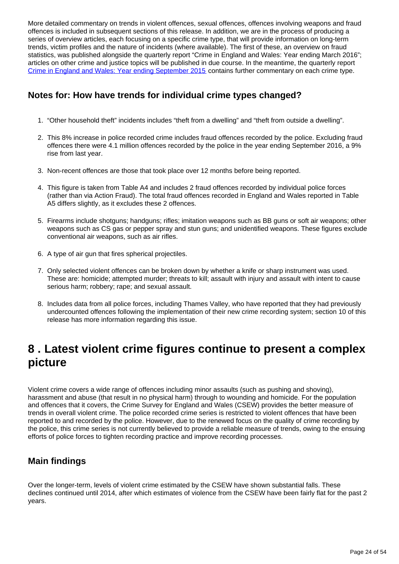More detailed commentary on trends in violent offences, sexual offences, offences involving weapons and fraud offences is included in subsequent sections of this release. In addition, we are in the process of producing a series of overview articles, each focusing on a specific crime type, that will provide information on long-term trends, victim profiles and the nature of incidents (where available). The first of these, an overview on fraud statistics, was published alongside the quarterly report "Crime in England and Wales: Year ending March 2016"; articles on other crime and justice topics will be published in due course. In the meantime, the quarterly report [Crime in England and Wales: Year ending September 2015](http://www.ons.gov.uk/peoplepopulationandcommunity/crimeandjustice/bulletins/crimeinenglandandwales/yearendingseptember2015) contains further commentary on each crime type.

### **Notes for: How have trends for individual crime types changed?**

- 1. "Other household theft" incidents includes "theft from a dwelling" and "theft from outside a dwelling".
- 2. This 8% increase in police recorded crime includes fraud offences recorded by the police. Excluding fraud offences there were 4.1 million offences recorded by the police in the year ending September 2016, a 9% rise from last year.
- 3. Non-recent offences are those that took place over 12 months before being reported.
- 4. This figure is taken from Table A4 and includes 2 fraud offences recorded by individual police forces (rather than via Action Fraud). The total fraud offences recorded in England and Wales reported in Table A5 differs slightly, as it excludes these 2 offences.
- 5. Firearms include shotguns; handguns; rifles; imitation weapons such as BB guns or soft air weapons; other weapons such as CS gas or pepper spray and stun guns; and unidentified weapons. These figures exclude conventional air weapons, such as air rifles.
- 6. A type of air gun that fires spherical projectiles.
- 7. Only selected violent offences can be broken down by whether a knife or sharp instrument was used. These are: homicide; attempted murder; threats to kill; assault with injury and assault with intent to cause serious harm; robbery; rape; and sexual assault.
- 8. Includes data from all police forces, including Thames Valley, who have reported that they had previously undercounted offences following the implementation of their new crime recording system; section 10 of this release has more information regarding this issue.

## <span id="page-23-0"></span>**8 . Latest violent crime figures continue to present a complex picture**

Violent crime covers a wide range of offences including minor assaults (such as pushing and shoving), harassment and abuse (that result in no physical harm) through to wounding and homicide. For the population and offences that it covers, the Crime Survey for England and Wales (CSEW) provides the better measure of trends in overall violent crime. The police recorded crime series is restricted to violent offences that have been reported to and recorded by the police. However, due to the renewed focus on the quality of crime recording by the police, this crime series is not currently believed to provide a reliable measure of trends, owing to the ensuing efforts of police forces to tighten recording practice and improve recording processes.

## **Main findings**

Over the longer-term, levels of violent crime estimated by the CSEW have shown substantial falls. These declines continued until 2014, after which estimates of violence from the CSEW have been fairly flat for the past 2 years.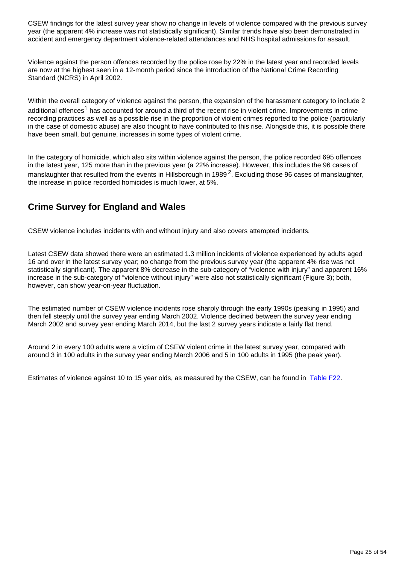CSEW findings for the latest survey year show no change in levels of violence compared with the previous survey year (the apparent 4% increase was not statistically significant). Similar trends have also been demonstrated in accident and emergency department violence-related attendances and NHS hospital admissions for assault.

Violence against the person offences recorded by the police rose by 22% in the latest year and recorded levels are now at the highest seen in a 12-month period since the introduction of the National Crime Recording Standard (NCRS) in April 2002.

Within the overall category of violence against the person, the expansion of the harassment category to include 2 additional offences<sup>1</sup> has accounted for around a third of the recent rise in violent crime. Improvements in crime recording practices as well as a possible rise in the proportion of violent crimes reported to the police (particularly in the case of domestic abuse) are also thought to have contributed to this rise. Alongside this, it is possible there have been small, but genuine, increases in some types of violent crime.

In the category of homicide, which also sits within violence against the person, the police recorded 695 offences in the latest year, 125 more than in the previous year (a 22% increase). However, this includes the 96 cases of manslaughter that resulted from the events in Hillsborough in 1989<sup>2</sup>. Excluding those 96 cases of manslaughter, the increase in police recorded homicides is much lower, at 5%.

## **Crime Survey for England and Wales**

CSEW violence includes incidents with and without injury and also covers attempted incidents.

Latest CSEW data showed there were an estimated 1.3 million incidents of violence experienced by adults aged 16 and over in the latest survey year; no change from the previous survey year (the apparent 4% rise was not statistically significant). The apparent 8% decrease in the sub-category of "violence with injury" and apparent 16% increase in the sub-category of "violence without injury" were also not statistically significant (Figure 3); both, however, can show year-on-year fluctuation.

The estimated number of CSEW violence incidents rose sharply through the early 1990s (peaking in 1995) and then fell steeply until the survey year ending March 2002. Violence declined between the survey year ending March 2002 and survey year ending March 2014, but the last 2 survey years indicate a fairly flat trend.

Around 2 in every 100 adults were a victim of CSEW violent crime in the latest survey year, compared with around 3 in 100 adults in the survey year ending March 2006 and 5 in 100 adults in 1995 (the peak year).

Estimates of violence against 10 to 15 year olds, as measured by the CSEW, can be found in [Table F22](https://www.ons.gov.uk/peoplepopulationandcommunity/crimeandjustice/datasets/crimeinenglandandwalesbulletintables).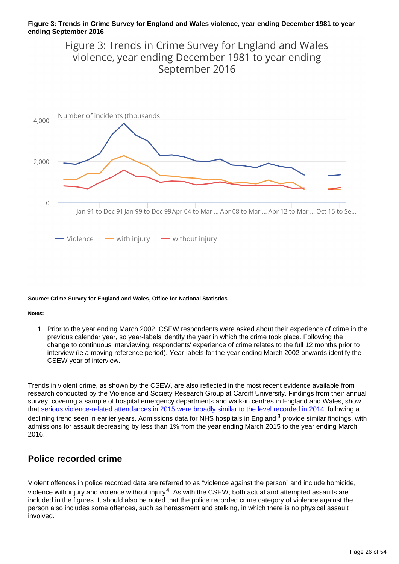#### **Figure 3: Trends in Crime Survey for England and Wales violence, year ending December 1981 to year ending September 2016**

Figure 3: Trends in Crime Survey for England and Wales violence, year ending December 1981 to year ending September 2016



#### **Source: Crime Survey for England and Wales, Office for National Statistics**

#### **Notes:**

1. Prior to the year ending March 2002, CSEW respondents were asked about their experience of crime in the previous calendar year, so year-labels identify the year in which the crime took place. Following the change to continuous interviewing, respondents' experience of crime relates to the full 12 months prior to interview (ie a moving reference period). Year-labels for the year ending March 2002 onwards identify the CSEW year of interview.

Trends in violent crime, as shown by the CSEW, are also reflected in the most recent evidence available from research conducted by the Violence and Society Research Group at Cardiff University. Findings from their annual survey, covering a sample of hospital emergency departments and walk-in centres in England and Wales, show that [serious violence-related attendances in 2015 were broadly similar to the level recorded in 2014](https://www.cardiff.ac.uk/__data/assets/pdf_file/0006/251673/NVSN-2015-annual-report.pdf) following a declining trend seen in earlier years. Admissions data for NHS hospitals in England  $3$  provide similar findings, with admissions for assault decreasing by less than 1% from the year ending March 2015 to the year ending March 2016.

#### **Police recorded crime**

Violent offences in police recorded data are referred to as "violence against the person" and include homicide, violence with injury and violence without injury<sup>4</sup>. As with the CSEW, both actual and attempted assaults are included in the figures. It should also be noted that the police recorded crime category of violence against the person also includes some offences, such as harassment and stalking, in which there is no physical assault involved.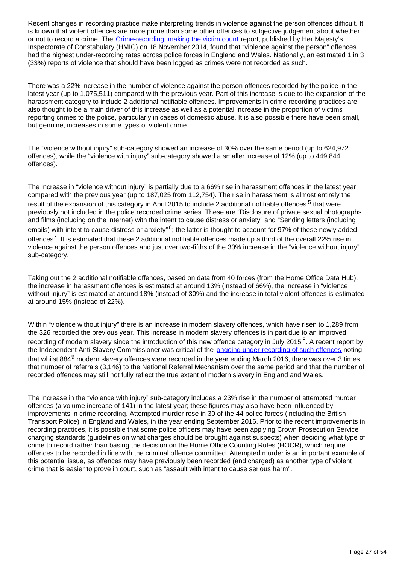Recent changes in recording practice make interpreting trends in violence against the person offences difficult. It is known that violent offences are more prone than some other offences to subjective judgement about whether or not to record a crime. The [Crime-recording: making the victim count](https://www.justiceinspectorates.gov.uk/hmic/publication/crime-recording-making-the-victim-count/) report, published by Her Majesty's Inspectorate of Constabulary (HMIC) on 18 November 2014, found that "violence against the person" offences had the highest under-recording rates across police forces in England and Wales. Nationally, an estimated 1 in 3 (33%) reports of violence that should have been logged as crimes were not recorded as such.

There was a 22% increase in the number of violence against the person offences recorded by the police in the latest year (up to 1,075,511) compared with the previous year. Part of this increase is due to the expansion of the harassment category to include 2 additional notifiable offences. Improvements in crime recording practices are also thought to be a main driver of this increase as well as a potential increase in the proportion of victims reporting crimes to the police, particularly in cases of domestic abuse. It is also possible there have been small, but genuine, increases in some types of violent crime.

The "violence without injury" sub-category showed an increase of 30% over the same period (up to 624,972 offences), while the "violence with injury" sub-category showed a smaller increase of 12% (up to 449,844 offences).

The increase in "violence without injury" is partially due to a 66% rise in harassment offences in the latest year compared with the previous year (up to 187,025 from 112,754). The rise in harassment is almost entirely the result of the expansion of this category in April 2015 to include 2 additional notifiable offences<sup>5</sup> that were previously not included in the police recorded crime series. These are "Disclosure of private sexual photographs and films (including on the internet) with the intent to cause distress or anxiety" and "Sending letters (including emails) with intent to cause distress or anxiety" $6$ ; the latter is thought to account for 97% of these newly added offences<sup>7</sup>. It is estimated that these 2 additional notifiable offences made up a third of the overall 22% rise in violence against the person offences and just over two-fifths of the 30% increase in the "violence without injury" sub-category.

Taking out the 2 additional notifiable offences, based on data from 40 forces (from the Home Office Data Hub), the increase in harassment offences is estimated at around 13% (instead of 66%), the increase in "violence without injury" is estimated at around 18% (instead of 30%) and the increase in total violent offences is estimated at around 15% (instead of 22%).

Within "violence without injury" there is an increase in modern slavery offences, which have risen to 1,289 from the 326 recorded the previous year. This increase in modern slavery offences is in part due to an improved recording of modern slavery since the introduction of this new offence category in July 2015<sup>8</sup>. A recent report by the Independent Anti-Slavery Commissioner was critical of the [ongoing under-recording of such offences](https://www.gov.uk/government/uploads/system/uploads/attachment_data/file/559571/IASC_Annual_Report_WebReadyFinal.pdf) noting that whilst 884 $9$  modern slavery offences were recorded in the year ending March 2016, there was over 3 times that number of referrals (3,146) to the National Referral Mechanism over the same period and that the number of recorded offences may still not fully reflect the true extent of modern slavery in England and Wales.

The increase in the "violence with injury" sub-category includes a 23% rise in the number of attempted murder offences (a volume increase of 141) in the latest year; these figures may also have been influenced by improvements in crime recording. Attempted murder rose in 30 of the 44 police forces (including the British Transport Police) in England and Wales, in the year ending September 2016. Prior to the recent improvements in recording practices, it is possible that some police officers may have been applying Crown Prosecution Service charging standards (guidelines on what charges should be brought against suspects) when deciding what type of crime to record rather than basing the decision on the Home Office Counting Rules (HOCR), which require offences to be recorded in line with the criminal offence committed. Attempted murder is an important example of this potential issue, as offences may have previously been recorded (and charged) as another type of violent crime that is easier to prove in court, such as "assault with intent to cause serious harm".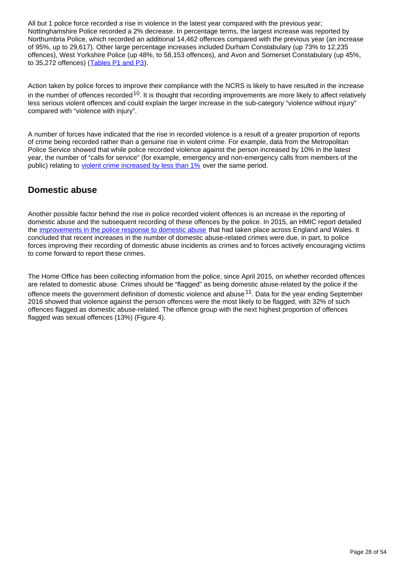All but 1 police force recorded a rise in violence in the latest year compared with the previous year; Nottinghamshire Police recorded a 2% decrease. In percentage terms, the largest increase was reported by Northumbria Police, which recorded an additional 14,462 offences compared with the previous year (an increase of 95%, up to 29,617). Other large percentage increases included Durham Constabulary (up 73% to 12,235 offences), West Yorkshire Police (up 48%, to 58,153 offences), and Avon and Somerset Constabulary (up 45%, to 35,272 offences) ([Tables P1 and P3](https://www.ons.gov.uk/peoplepopulationandcommunity/crimeandjustice/datasets/policeforceareadatatables)).

Action taken by police forces to improve their compliance with the NCRS is likely to have resulted in the increase in the number of offences recorded  $10$ . It is thought that recording improvements are more likely to affect relatively less serious violent offences and could explain the larger increase in the sub-category "violence without injury" compared with "violence with injury".

A number of forces have indicated that the rise in recorded violence is a result of a greater proportion of reports of crime being recorded rather than a genuine rise in violent crime. For example, data from the Metropolitan Police Service showed that while police recorded violence against the person increased by 10% in the latest year, the number of "calls for service" (for example, emergency and non-emergency calls from members of the public) relating to [violent crime increased by less than 1%](http://data.london.gov.uk/dataset/metropolitan-police-service-recorded-crime-figures-and-associated-data) over the same period.

### **Domestic abuse**

Another possible factor behind the rise in police recorded violent offences is an increase in the reporting of domestic abuse and the subsequent recording of these offences by the police. In 2015, an HMIC report detailed the [improvements in the police response to domestic abuse](http://www.justiceinspectorates.gov.uk/hmic/publications/increasingly-everyones-business-a-progress-report-on-the-police-response-to-domestic-abuse/) that had taken place across England and Wales. It concluded that recent increases in the number of domestic abuse-related crimes were due, in part, to police forces improving their recording of domestic abuse incidents as crimes and to forces actively encouraging victims to come forward to report these crimes.

The Home Office has been collecting information from the police, since April 2015, on whether recorded offences are related to domestic abuse. Crimes should be "flagged" as being domestic abuse-related by the police if the offence meets the government definition of domestic violence and abuse  $11$ . Data for the year ending September 2016 showed that violence against the person offences were the most likely to be flagged, with 32% of such offences flagged as domestic abuse-related. The offence group with the next highest proportion of offences flagged was sexual offences (13%) (Figure 4).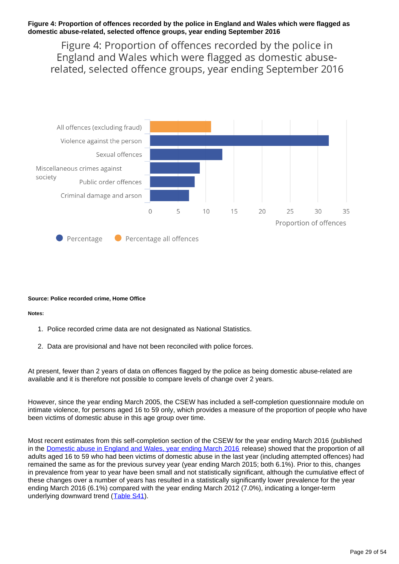#### **Figure 4: Proportion of offences recorded by the police in England and Wales which were flagged as domestic abuse-related, selected offence groups, year ending September 2016**

Figure 4: Proportion of offences recorded by the police in England and Wales which were flagged as domestic abuserelated, selected offence groups, year ending September 2016



#### **Source: Police recorded crime, Home Office**

#### **Notes:**

- 1. Police recorded crime data are not designated as National Statistics.
- 2. Data are provisional and have not been reconciled with police forces.

At present, fewer than 2 years of data on offences flagged by the police as being domestic abuse-related are available and it is therefore not possible to compare levels of change over 2 years.

However, since the year ending March 2005, the CSEW has included a self-completion questionnaire module on intimate violence, for persons aged 16 to 59 only, which provides a measure of the proportion of people who have been victims of domestic abuse in this age group over time.

Most recent estimates from this self-completion section of the CSEW for the year ending March 2016 (published in the [Domestic abuse in England and Wales, year ending March 2016](https://www.ons.gov.uk/peoplepopulationandcommunity/crimeandjustice/bulletins/domesticabuseinenglandandwales/yearendingmarch2016) release) showed that the proportion of all adults aged 16 to 59 who had been victims of domestic abuse in the last year (including attempted offences) had remained the same as for the previous survey year (year ending March 2015; both 6.1%). Prior to this, changes in prevalence from year to year have been small and not statistically significant, although the cumulative effect of these changes over a number of years has resulted in a statistically significantly lower prevalence for the year ending March 2016 (6.1%) compared with the year ending March 2012 (7.0%), indicating a longer-term underlying downward trend ([Table S41\)](https://www.ons.gov.uk/peoplepopulationandcommunity/crimeandjustice/datasets/crimeinenglandandwalesannualsupplementarytables).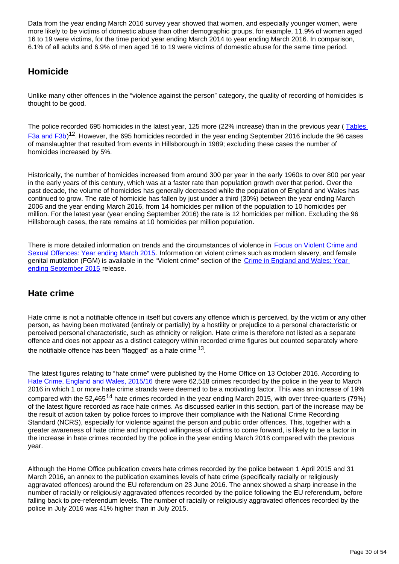Data from the year ending March 2016 survey year showed that women, and especially younger women, were more likely to be victims of domestic abuse than other demographic groups, for example, 11.9% of women aged 16 to 19 were victims, for the time period year ending March 2014 to year ending March 2016. In comparison, 6.1% of all adults and 6.9% of men aged 16 to 19 were victims of domestic abuse for the same time period.

### **Homicide**

Unlike many other offences in the "violence against the person" category, the quality of recording of homicides is thought to be good.

The police recorded 695 homicides in the latest year, 125 more (22% increase) than in the previous year (Tables [F3a and F3b](https://www.ons.gov.uk/peoplepopulationandcommunity/crimeandjustice/datasets/crimeinenglandandwalesbulletintables))<sup>12</sup>. However, the 695 homicides recorded in the year ending September 2016 include the 96 cases of manslaughter that resulted from events in Hillsborough in 1989; excluding these cases the number of homicides increased by 5%.

Historically, the number of homicides increased from around 300 per year in the early 1960s to over 800 per year in the early years of this century, which was at a faster rate than population growth over that period. Over the past decade, the volume of homicides has generally decreased while the population of England and Wales has continued to grow. The rate of homicide has fallen by just under a third (30%) between the year ending March 2006 and the year ending March 2016, from 14 homicides per million of the population to 10 homicides per million. For the latest year (year ending September 2016) the rate is 12 homicides per million. Excluding the 96 Hillsborough cases, the rate remains at 10 homicides per million population.

There is more detailed information on trends and the circumstances of violence in Focus on Violent Crime and [Sexual Offences: Year ending March 2015.](http://www.ons.gov.uk/peoplepopulationandcommunity/crimeandjustice/compendium/focusonviolentcrimeandsexualoffences/yearendingmarch2015) Information on violent crimes such as modern slavery, and female genital mutilation (FGM) is available in the "Violent crime" section of the [Crime in England and Wales: Year](http://www.ons.gov.uk/peoplepopulationandcommunity/crimeandjustice/bulletins/crimeinenglandandwales/yearendingseptember2015)  [ending September 2015](http://www.ons.gov.uk/peoplepopulationandcommunity/crimeandjustice/bulletins/crimeinenglandandwales/yearendingseptember2015) release.

### **Hate crime**

Hate crime is not a notifiable offence in itself but covers any offence which is perceived, by the victim or any other person, as having been motivated (entirely or partially) by a hostility or prejudice to a personal characteristic or perceived personal characteristic, such as ethnicity or religion. Hate crime is therefore not listed as a separate offence and does not appear as a distinct category within recorded crime figures but counted separately where the notifiable offence has been "flagged" as a hate crime  $^{13}$ .

The latest figures relating to "hate crime" were published by the Home Office on 13 October 2016. According to [Hate Crime, England and Wales, 2015/16](https://www.gov.uk/government/statistics/hate-crime-england-and-wales-2015-to-2016) there were 62,518 crimes recorded by the police in the year to March 2016 in which 1 or more hate crime strands were deemed to be a motivating factor. This was an increase of 19% compared with the 52,465<sup>14</sup> hate crimes recorded in the year ending March 2015, with over three-quarters (79%) of the latest figure recorded as race hate crimes. As discussed earlier in this section, part of the increase may be the result of action taken by police forces to improve their compliance with the National Crime Recording Standard (NCRS), especially for violence against the person and public order offences. This, together with a greater awareness of hate crime and improved willingness of victims to come forward, is likely to be a factor in the increase in hate crimes recorded by the police in the year ending March 2016 compared with the previous year.

Although the Home Office publication covers hate crimes recorded by the police between 1 April 2015 and 31 March 2016, an annex to the publication examines levels of hate crime (specifically racially or religiously aggravated offences) around the EU referendum on 23 June 2016. The annex showed a sharp increase in the number of racially or religiously aggravated offences recorded by the police following the EU referendum, before falling back to pre-referendum levels. The number of racially or religiously aggravated offences recorded by the police in July 2016 was 41% higher than in July 2015.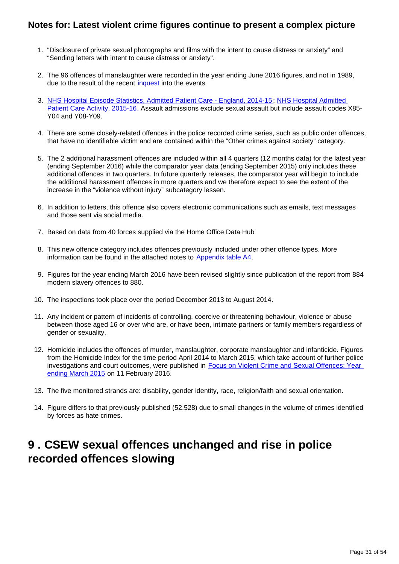### **Notes for: Latest violent crime figures continue to present a complex picture**

- 1. "Disclosure of private sexual photographs and films with the intent to cause distress or anxiety" and "Sending letters with intent to cause distress or anxiety".
- 2. The 96 offences of manslaughter were recorded in the year ending June 2016 figures, and not in 1989, due to the result of the recent [inquest](http://hillsboroughinquests.independent.gov.uk/) into the events
- 3. [NHS Hospital Episode Statistics, Admitted Patient Care England, 2014-15;](http://content.digital.nhs.uk/catalogue/PUB19124) [NHS Hospital Admitted](http://www.content.digital.nhs.uk/catalogue/PUB22378)  [Patient Care Activity, 2015-16](http://www.content.digital.nhs.uk/catalogue/PUB22378). Assault admissions exclude sexual assault but include assault codes X85-Y04 and Y08-Y09.
- 4. There are some closely-related offences in the police recorded crime series, such as public order offences, that have no identifiable victim and are contained within the "Other crimes against society" category.
- 5. The 2 additional harassment offences are included within all 4 quarters (12 months data) for the latest year (ending September 2016) while the comparator year data (ending September 2015) only includes these additional offences in two quarters. In future quarterly releases, the comparator year will begin to include the additional harassment offences in more quarters and we therefore expect to see the extent of the increase in the "violence without injury" subcategory lessen.
- 6. In addition to letters, this offence also covers electronic communications such as emails, text messages and those sent via social media.
- 7. Based on data from 40 forces supplied via the Home Office Data Hub
- 8. This new offence category includes offences previously included under other offence types. More information can be found in the attached notes to [Appendix table A4](https://www.ons.gov.uk/peoplepopulationandcommunity/crimeandjustice/datasets/crimeinenglandandwalesappendixtables).
- 9. Figures for the year ending March 2016 have been revised slightly since publication of the report from 884 modern slavery offences to 880.
- 10. The inspections took place over the period December 2013 to August 2014.
- 11. Any incident or pattern of incidents of controlling, coercive or threatening behaviour, violence or abuse between those aged 16 or over who are, or have been, intimate partners or family members regardless of gender or sexuality.
- 12. Homicide includes the offences of murder, manslaughter, corporate manslaughter and infanticide. Figures from the Homicide Index for the time period April 2014 to March 2015, which take account of further police investigations and court outcomes, were published in Focus on Violent Crime and Sexual Offences: Year [ending March 2015](http://www.ons.gov.uk/ons/rel/crime-stats/crime-statistics/focus-on-violent-crime-and-sexual-offences--2014-to-2015/index.html) on 11 February 2016.
- 13. The five monitored strands are: disability, gender identity, race, religion/faith and sexual orientation.
- 14. Figure differs to that previously published (52,528) due to small changes in the volume of crimes identified by forces as hate crimes.

## <span id="page-30-0"></span>**9 . CSEW sexual offences unchanged and rise in police recorded offences slowing**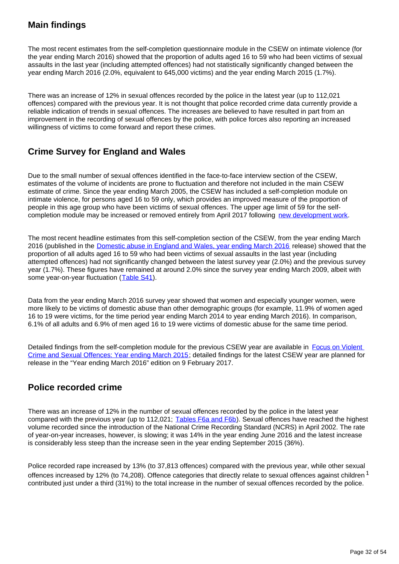## **Main findings**

The most recent estimates from the self-completion questionnaire module in the CSEW on intimate violence (for the year ending March 2016) showed that the proportion of adults aged 16 to 59 who had been victims of sexual assaults in the last year (including attempted offences) had not statistically significantly changed between the year ending March 2016 (2.0%, equivalent to 645,000 victims) and the year ending March 2015 (1.7%).

There was an increase of 12% in sexual offences recorded by the police in the latest year (up to 112,021 offences) compared with the previous year. It is not thought that police recorded crime data currently provide a reliable indication of trends in sexual offences. The increases are believed to have resulted in part from an improvement in the recording of sexual offences by the police, with police forces also reporting an increased willingness of victims to come forward and report these crimes.

## **Crime Survey for England and Wales**

Due to the small number of sexual offences identified in the face-to-face interview section of the CSEW, estimates of the volume of incidents are prone to fluctuation and therefore not included in the main CSEW estimate of crime. Since the year ending March 2005, the CSEW has included a self-completion module on intimate violence, for persons aged 16 to 59 only, which provides an improved measure of the proportion of people in this age group who have been victims of sexual offences. The upper age limit of 59 for the selfcompletion module may be increased or removed entirely from April 2017 following [new development work](https://www.ons.gov.uk/peoplepopulationandcommunity/crimeandjustice/methodologies/improvingcrimestatisticsforenglandandwalesprogressupdate).

The most recent headline estimates from this self-completion section of the CSEW, from the year ending March 2016 (published in the [Domestic abuse in England and Wales, year ending March 2016](https://www.ons.gov.uk/peoplepopulationandcommunity/crimeandjustice/bulletins/domesticabuseinenglandandwales/yearendingmarch2016) release) showed that the proportion of all adults aged 16 to 59 who had been victims of sexual assaults in the last year (including attempted offences) had not significantly changed between the latest survey year (2.0%) and the previous survey year (1.7%). These figures have remained at around 2.0% since the survey year ending March 2009, albeit with some year-on-year fluctuation ([Table S41](https://www.ons.gov.uk/peoplepopulationandcommunity/crimeandjustice/datasets/crimeinenglandandwalesannualsupplementarytables)).

Data from the year ending March 2016 survey year showed that women and especially younger women, were more likely to be victims of domestic abuse than other demographic groups (for example, 11.9% of women aged 16 to 19 were victims, for the time period year ending March 2014 to year ending March 2016). In comparison, 6.1% of all adults and 6.9% of men aged 16 to 19 were victims of domestic abuse for the same time period.

Detailed findings from the self-completion module for the previous CSEW year are available in Focus on Violent [Crime and Sexual Offences: Year ending March 2015](http://www.ons.gov.uk/peoplepopulationandcommunity/crimeandjustice/compendium/focusonviolentcrimeandsexualoffences/yearendingmarch2015); detailed findings for the latest CSEW year are planned for release in the "Year ending March 2016" edition on 9 February 2017.

## **Police recorded crime**

There was an increase of 12% in the number of sexual offences recorded by the police in the latest year compared with the previous year (up to 112,021; [Tables F6a and F6b\)](https://www.ons.gov.uk/peoplepopulationandcommunity/crimeandjustice/datasets/crimeinenglandandwalesbulletintables). Sexual offences have reached the highest volume recorded since the introduction of the National Crime Recording Standard (NCRS) in April 2002. The rate of year-on-year increases, however, is slowing; it was 14% in the year ending June 2016 and the latest increase is considerably less steep than the increase seen in the year ending September 2015 (36%).

Police recorded rape increased by 13% (to 37,813 offences) compared with the previous year, while other sexual offences increased by 12% (to 74,208). Offence categories that directly relate to sexual offences against children <sup>1</sup> contributed just under a third (31%) to the total increase in the number of sexual offences recorded by the police.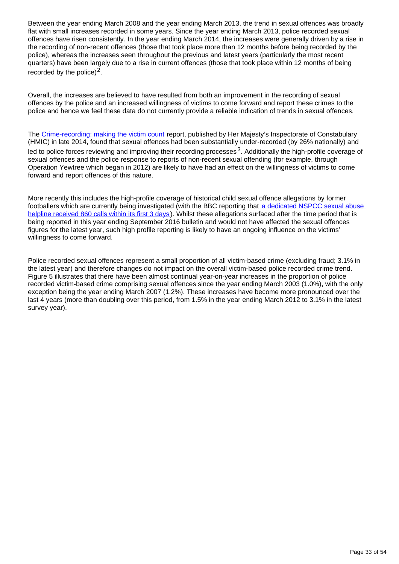Between the year ending March 2008 and the year ending March 2013, the trend in sexual offences was broadly flat with small increases recorded in some years. Since the year ending March 2013, police recorded sexual offences have risen consistently. In the year ending March 2014, the increases were generally driven by a rise in the recording of non-recent offences (those that took place more than 12 months before being recorded by the police), whereas the increases seen throughout the previous and latest years (particularly the most recent quarters) have been largely due to a rise in current offences (those that took place within 12 months of being recorded by the police) $2$ .

Overall, the increases are believed to have resulted from both an improvement in the recording of sexual offences by the police and an increased willingness of victims to come forward and report these crimes to the police and hence we feel these data do not currently provide a reliable indication of trends in sexual offences.

The [Crime-recording: making the victim count](https://www.justiceinspectorates.gov.uk/hmic/publication/crime-recording-making-the-victim-count/) report, published by Her Majesty's Inspectorate of Constabulary (HMIC) in late 2014, found that sexual offences had been substantially under-recorded (by 26% nationally) and led to police forces reviewing and improving their recording processes<sup>3</sup>. Additionally the high-profile coverage of sexual offences and the police response to reports of non-recent sexual offending (for example, through Operation Yewtree which began in 2012) are likely to have had an effect on the willingness of victims to come forward and report offences of this nature.

More recently this includes the high-profile coverage of historical child sexual offence allegations by former footballers which are currently being investigated (with the BBC reporting that [a dedicated NSPCC sexual abuse](http://www.bbc.co.uk/sport/football/38211167)  [helpline received 860 calls within its first 3 days](http://www.bbc.co.uk/sport/football/38211167)). Whilst these allegations surfaced after the time period that is being reported in this year ending September 2016 bulletin and would not have affected the sexual offences figures for the latest year, such high profile reporting is likely to have an ongoing influence on the victims' willingness to come forward.

Police recorded sexual offences represent a small proportion of all victim-based crime (excluding fraud; 3.1% in the latest year) and therefore changes do not impact on the overall victim-based police recorded crime trend. Figure 5 illustrates that there have been almost continual year-on-year increases in the proportion of police recorded victim-based crime comprising sexual offences since the year ending March 2003 (1.0%), with the only exception being the year ending March 2007 (1.2%). These increases have become more pronounced over the last 4 years (more than doubling over this period, from 1.5% in the year ending March 2012 to 3.1% in the latest survey year).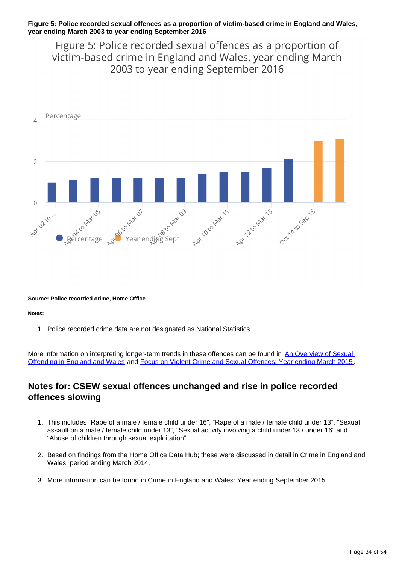#### **Figure 5: Police recorded sexual offences as a proportion of victim-based crime in England and Wales, year ending March 2003 to year ending September 2016**

Figure 5: Police recorded sexual offences as a proportion of victim-based crime in England and Wales, year ending March 2003 to year ending September 2016



#### **Source: Police recorded crime, Home Office**

**Notes:**

1. Police recorded crime data are not designated as National Statistics.

More information on interpreting longer-term trends in these offences can be found in An Overview of Sexual [Offending in England and Wales](http://www.ons.gov.uk/ons/external-links/other-government-departments/moj/moj--sexual-offending-in-e-w.html) and [Focus on Violent Crime and Sexual Offences: Year ending March 2015](http://www.ons.gov.uk/peoplepopulationandcommunity/crimeandjustice/compendium/focusonviolentcrimeandsexualoffences/yearendingmarch2015) .

### **Notes for: CSEW sexual offences unchanged and rise in police recorded offences slowing**

- 1. This includes "Rape of a male / female child under 16", "Rape of a male / female child under 13", "Sexual assault on a male / female child under 13", "Sexual activity involving a child under 13 / under 16" and "Abuse of children through sexual exploitation".
- 2. Based on findings from the Home Office Data Hub; these were discussed in detail in Crime in England and Wales, period ending March 2014.
- 3. More information can be found in Crime in England and Wales: Year ending September 2015.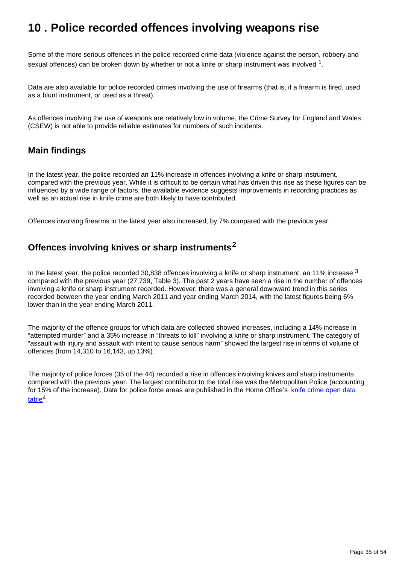## <span id="page-34-0"></span>**10 . Police recorded offences involving weapons rise**

Some of the more serious offences in the police recorded crime data (violence against the person, robbery and sexual offences) can be broken down by whether or not a knife or sharp instrument was involved  $^1$ .

Data are also available for police recorded crimes involving the use of firearms (that is, if a firearm is fired, used as a blunt instrument, or used as a threat).

As offences involving the use of weapons are relatively low in volume, the Crime Survey for England and Wales (CSEW) is not able to provide reliable estimates for numbers of such incidents.

#### **Main findings**

In the latest year, the police recorded an 11% increase in offences involving a knife or sharp instrument, compared with the previous year. While it is difficult to be certain what has driven this rise as these figures can be influenced by a wide range of factors, the available evidence suggests improvements in recording practices as well as an actual rise in knife crime are both likely to have contributed.

Offences involving firearms in the latest year also increased, by 7% compared with the previous year.

### **Offences involving knives or sharp instruments<sup>2</sup>**

In the latest year, the police recorded 30,838 offences involving a knife or sharp instrument, an 11% increase  $3$ compared with the previous year (27,739, Table 3). The past 2 years have seen a rise in the number of offences involving a knife or sharp instrument recorded. However, there was a general downward trend in this series recorded between the year ending March 2011 and year ending March 2014, with the latest figures being 6% lower than in the year ending March 2011.

The majority of the offence groups for which data are collected showed increases, including a 14% increase in "attempted murder" and a 35% increase in "threats to kill" involving a knife or sharp instrument. The category of "assault with injury and assault with intent to cause serious harm" showed the largest rise in terms of volume of offences (from 14,310 to 16,143, up 13%).

The majority of police forces (35 of the 44) recorded a rise in offences involving knives and sharp instruments compared with the previous year. The largest contributor to the total rise was the Metropolitan Police (accounting for 15% of the increase). Data for police force areas are published in the Home Office's knife crime open data  $t$ able $^4$ .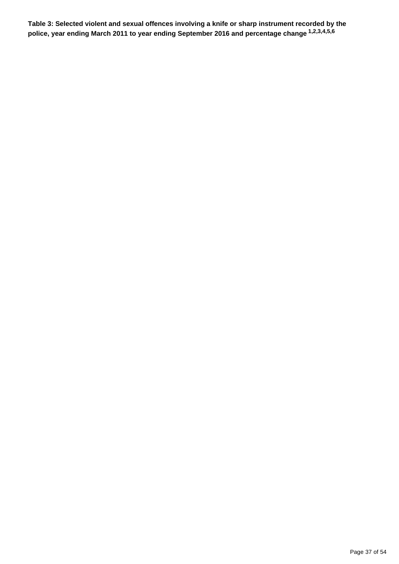**Table 3: Selected violent and sexual offences involving a knife or sharp instrument recorded by the police, year ending March 2011 to year ending September 2016 and percentage change 1,2,3,4,5,6**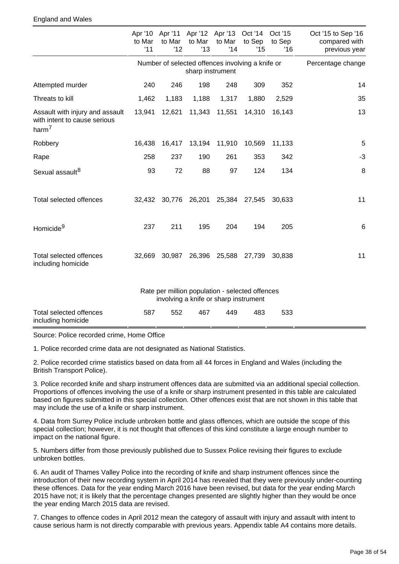#### England and Wales

|                                                                                      | to Mar<br>'11 | to Mar<br>'12 | to Mar<br>'13                         | to Mar<br>'14 | Apr '10 Apr '11 Apr '12 Apr '13 Oct '14 Oct '15<br>to Sep<br>'15 | to Sep<br>'16 | Oct '15 to Sep '16<br>compared with<br>previous year |
|--------------------------------------------------------------------------------------|---------------|---------------|---------------------------------------|---------------|------------------------------------------------------------------|---------------|------------------------------------------------------|
|                                                                                      |               |               | sharp instrument                      |               | Number of selected offences involving a knife or                 |               | Percentage change                                    |
| Attempted murder                                                                     | 240           | 246           | 198                                   | 248           | 309                                                              | 352           | 14                                                   |
| Threats to kill                                                                      | 1,462         | 1,183         | 1,188                                 | 1,317         | 1,880                                                            | 2,529         | 35                                                   |
| Assault with injury and assault<br>with intent to cause serious<br>harm <sup>7</sup> | 13,941        | 12,621        | 11,343                                | 11,551        | 14,310                                                           | 16,143        | 13                                                   |
| Robbery                                                                              | 16,438        | 16,417        |                                       | 13,194 11,910 | 10,569                                                           | 11,133        | 5                                                    |
| Rape                                                                                 | 258           | 237           | 190                                   | 261           | 353                                                              | 342           | $-3$                                                 |
| Sexual assault <sup>8</sup>                                                          | 93            | 72            | 88                                    | 97            | 124                                                              | 134           | 8                                                    |
| Total selected offences                                                              | 32,432        |               | 30,776 26,201                         | 25,384        | 27,545                                                           | 30,633        | 11                                                   |
| Homicide <sup>9</sup>                                                                | 237           | 211           | 195                                   | 204           | 194                                                              | 205           | $\,6$                                                |
| Total selected offences<br>including homicide                                        | 32,669        | 30,987        | 26,396                                | 25,588        | 27,739                                                           | 30,838        | 11                                                   |
|                                                                                      |               |               | involving a knife or sharp instrument |               | Rate per million population - selected offences                  |               |                                                      |
| <b>Total selected offences</b><br>including homicide                                 | 587           | 552           | 467                                   | 449           | 483                                                              | 533           |                                                      |

Source: Police recorded crime, Home Office

1. Police recorded crime data are not designated as National Statistics.

2. Police recorded crime statistics based on data from all 44 forces in England and Wales (including the British Transport Police).

3. Police recorded knife and sharp instrument offences data are submitted via an additional special collection. Proportions of offences involving the use of a knife or sharp instrument presented in this table are calculated based on figures submitted in this special collection. Other offences exist that are not shown in this table that may include the use of a knife or sharp instrument.

4. Data from Surrey Police include unbroken bottle and glass offences, which are outside the scope of this special collection; however, it is not thought that offences of this kind constitute a large enough number to impact on the national figure.

5. Numbers differ from those previously published due to Sussex Police revising their figures to exclude unbroken bottles.

6. An audit of Thames Valley Police into the recording of knife and sharp instrument offences since the introduction of their new recording system in April 2014 has revealed that they were previously under-counting these offences. Data for the year ending March 2016 have been revised, but data for the year ending March 2015 have not; it is likely that the percentage changes presented are slightly higher than they would be once the year ending March 2015 data are revised.

7. Changes to offence codes in April 2012 mean the category of assault with injury and assault with intent to cause serious harm is not directly comparable with previous years. Appendix table A4 contains more details.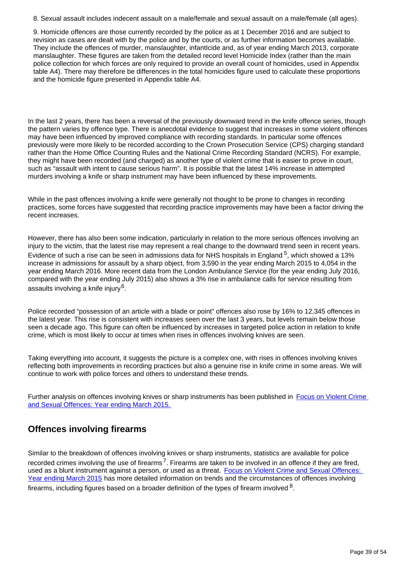8. Sexual assault includes indecent assault on a male/female and sexual assault on a male/female (all ages).

9. Homicide offences are those currently recorded by the police as at 1 December 2016 and are subject to revision as cases are dealt with by the police and by the courts, or as further information becomes available. They include the offences of murder, manslaughter, infantIcide and, as of year ending March 2013, corporate manslaughter. These figures are taken from the detailed record level Homicide Index (rather than the main police collection for which forces are only required to provide an overall count of homicides, used in Appendix table A4). There may therefore be differences in the total homicides figure used to calculate these proportions and the homicide figure presented in Appendix table A4.

In the last 2 years, there has been a reversal of the previously downward trend in the knife offence series, though the pattern varies by offence type. There is anecdotal evidence to suggest that increases in some violent offences may have been influenced by improved compliance with recording standards. In particular some offences previously were more likely to be recorded according to the Crown Prosecution Service (CPS) charging standard rather than the Home Office Counting Rules and the National Crime Recording Standard (NCRS). For example, they might have been recorded (and charged) as another type of violent crime that is easier to prove in court, such as "assault with intent to cause serious harm". It is possible that the latest 14% increase in attempted murders involving a knife or sharp instrument may have been influenced by these improvements.

While in the past offences involving a knife were generally not thought to be prone to changes in recording practices, some forces have suggested that recording practice improvements may have been a factor driving the recent increases.

However, there has also been some indication, particularly in relation to the more serious offences involving an injury to the victim, that the latest rise may represent a real change to the downward trend seen in recent years. Evidence of such a rise can be seen in admissions data for NHS hospitals in England  $5$ , which showed a 13% increase in admissions for assault by a sharp object, from 3,590 in the year ending March 2015 to 4,054 in the year ending March 2016. More recent data from the London Ambulance Service (for the year ending July 2016, compared with the year ending July 2015) also shows a 3% rise in ambulance calls for service resulting from assaults involving a knife injury $^6$ .

Police recorded "possession of an article with a blade or point" offences also rose by 16% to 12,345 offences in the latest year. This rise is consistent with increases seen over the last 3 years, but levels remain below those seen a decade ago. This figure can often be influenced by increases in targeted police action in relation to knife crime, which is most likely to occur at times when rises in offences involving knives are seen.

Taking everything into account, it suggests the picture is a complex one, with rises in offences involving knives reflecting both improvements in recording practices but also a genuine rise in knife crime in some areas. We will continue to work with police forces and others to understand these trends.

Further analysis on offences involving knives or sharp instruments has been published in Focus on Violent Crime [and Sexual Offences: Year ending March 2015.](http://www.ons.gov.uk/peoplepopulationandcommunity/crimeandjustice/compendium/focusonviolentcrimeandsexualoffences/yearendingmarch2015)

### **Offences involving firearms**

Similar to the breakdown of offences involving knives or sharp instruments, statistics are available for police recorded crimes involving the use of firearms<sup>7</sup>. Firearms are taken to be involved in an offence if they are fired, used as a blunt instrument against a person, or used as a threat. Focus on Violent Crime and Sexual Offences: [Year ending March 2015](http://www.ons.gov.uk/peoplepopulationandcommunity/crimeandjustice/compendium/focusonviolentcrimeandsexualoffences/yearendingmarch2015) has more detailed information on trends and the circumstances of offences involving firearms, including figures based on a broader definition of the types of firearm involved  $^8$ .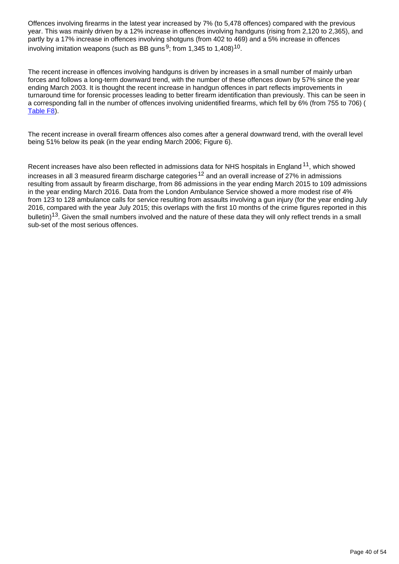Offences involving firearms in the latest year increased by 7% (to 5,478 offences) compared with the previous year. This was mainly driven by a 12% increase in offences involving handguns (rising from 2,120 to 2,365), and partly by a 17% increase in offences involving shotguns (from 402 to 469) and a 5% increase in offences involving imitation weapons (such as BB guns  $9$ ; from 1,345 to 1,408) $^{10}$ .

The recent increase in offences involving handguns is driven by increases in a small number of mainly urban forces and follows a long-term downward trend, with the number of these offences down by 57% since the year ending March 2003. It is thought the recent increase in handgun offences in part reflects improvements in turnaround time for forensic processes leading to better firearm identification than previously. This can be seen in a corresponding fall in the number of offences involving unidentified firearms, which fell by 6% (from 755 to 706) ( [Table F8\)](https://www.ons.gov.uk/peoplepopulationandcommunity/crimeandjustice/datasets/crimeinenglandandwalesbulletintables).

The recent increase in overall firearm offences also comes after a general downward trend, with the overall level being 51% below its peak (in the year ending March 2006; Figure 6).

Recent increases have also been reflected in admissions data for NHS hospitals in England <sup>11</sup>, which showed increases in all 3 measured firearm discharge categories<sup>12</sup> and an overall increase of 27% in admissions resulting from assault by firearm discharge, from 86 admissions in the year ending March 2015 to 109 admissions in the year ending March 2016. Data from the London Ambulance Service showed a more modest rise of 4% from 123 to 128 ambulance calls for service resulting from assaults involving a gun injury (for the year ending July 2016, compared with the year July 2015; this overlaps with the first 10 months of the crime figures reported in this bulletin)<sup>13</sup>. Given the small numbers involved and the nature of these data they will only reflect trends in a small sub-set of the most serious offences.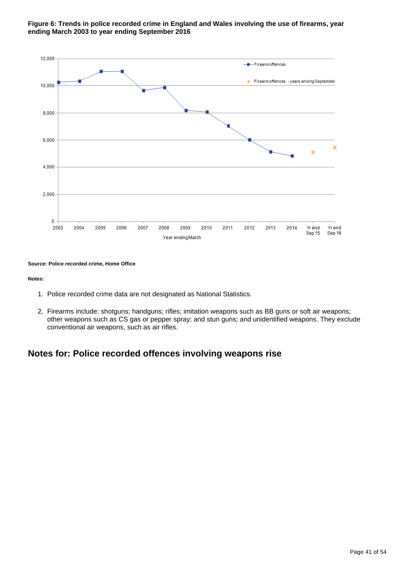

**Figure 6: Trends in police recorded crime in England and Wales involving the use of firearms, year ending March 2003 to year ending September 2016**

**Source: Police recorded crime, Home Office**

**Notes:**

- 1. Police recorded crime data are not designated as National Statistics.
- 2. Firearms include: shotguns; handguns; rifles; imitation weapons such as BB guns or soft air weapons; other weapons such as CS gas or pepper spray; and stun guns; and unidentified weapons. They exclude conventional air weapons, such as air rifles.

### **Notes for: Police recorded offences involving weapons rise**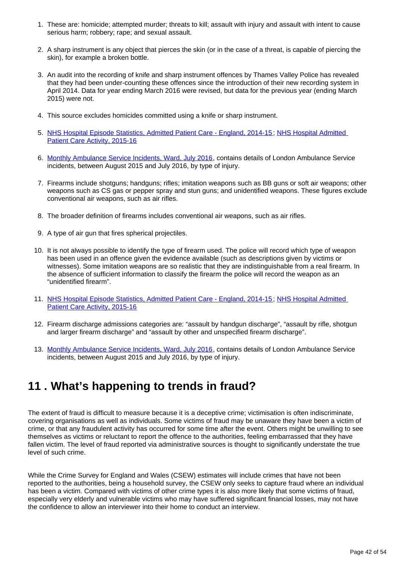- 1. These are: homicide; attempted murder; threats to kill; assault with injury and assault with intent to cause serious harm; robbery; rape; and sexual assault.
- 2. A sharp instrument is any object that pierces the skin (or in the case of a threat, is capable of piercing the skin), for example a broken bottle.
- 3. An audit into the recording of knife and sharp instrument offences by Thames Valley Police has revealed that they had been under-counting these offences since the introduction of their new recording system in April 2014. Data for year ending March 2016 were revised, but data for the previous year (ending March 2015) were not.
- 4. This source excludes homicides committed using a knife or sharp instrument.
- 5. [NHS Hospital Episode Statistics, Admitted Patient Care England, 2014-15;](http://content.digital.nhs.uk/catalogue/PUB19124) [NHS Hospital Admitted](http://www.content.digital.nhs.uk/catalogue/PUB22378)  [Patient Care Activity, 2015-16](http://www.content.digital.nhs.uk/catalogue/PUB22378)
- 6. [Monthly Ambulance Service Incidents, Ward, July 2016,](https://data.london.gov.uk/dataset/monthly-ambulance-service-incidents-ward) contains details of London Ambulance Service incidents, between August 2015 and July 2016, by type of injury.
- 7. Firearms include shotguns; handguns; rifles; imitation weapons such as BB guns or soft air weapons; other weapons such as CS gas or pepper spray and stun guns; and unidentified weapons. These figures exclude conventional air weapons, such as air rifles.
- 8. The broader definition of firearms includes conventional air weapons, such as air rifles.
- 9. A type of air gun that fires spherical projectiles.
- 10. It is not always possible to identify the type of firearm used. The police will record which type of weapon has been used in an offence given the evidence available (such as descriptions given by victims or witnesses). Some imitation weapons are so realistic that they are indistinguishable from a real firearm. In the absence of sufficient information to classify the firearm the police will record the weapon as an "unidentified firearm".
- 11. [NHS Hospital Episode Statistics, Admitted Patient Care England, 2014-15;](http://content.digital.nhs.uk/catalogue/PUB19124) NHS Hospital Admitted [Patient Care Activity, 2015-16](http://www.content.digital.nhs.uk/catalogue/PUB22378)
- 12. Firearm discharge admissions categories are: "assault by handgun discharge", "assault by rifle, shotgun and larger firearm discharge" and "assault by other and unspecified firearm discharge".
- 13. [Monthly Ambulance Service Incidents, Ward, July 2016,](https://data.london.gov.uk/dataset/monthly-ambulance-service-incidents-ward) contains details of London Ambulance Service incidents, between August 2015 and July 2016, by type of injury.

## <span id="page-41-0"></span>**11 . What's happening to trends in fraud?**

The extent of fraud is difficult to measure because it is a deceptive crime; victimisation is often indiscriminate, covering organisations as well as individuals. Some victims of fraud may be unaware they have been a victim of crime, or that any fraudulent activity has occurred for some time after the event. Others might be unwilling to see themselves as victims or reluctant to report the offence to the authorities, feeling embarrassed that they have fallen victim. The level of fraud reported via administrative sources is thought to significantly understate the true level of such crime.

While the Crime Survey for England and Wales (CSEW) estimates will include crimes that have not been reported to the authorities, being a household survey, the CSEW only seeks to capture fraud where an individual has been a victim. Compared with victims of other crime types it is also more likely that some victims of fraud, especially very elderly and vulnerable victims who may have suffered significant financial losses, may not have the confidence to allow an interviewer into their home to conduct an interview.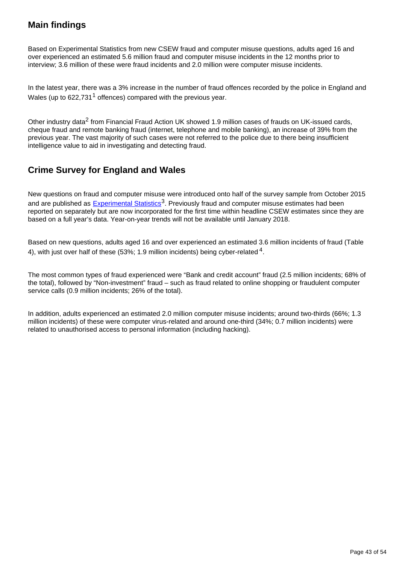## **Main findings**

Based on Experimental Statistics from new CSEW fraud and computer misuse questions, adults aged 16 and over experienced an estimated 5.6 million fraud and computer misuse incidents in the 12 months prior to interview; 3.6 million of these were fraud incidents and 2.0 million were computer misuse incidents.

In the latest year, there was a 3% increase in the number of fraud offences recorded by the police in England and Wales (up to  $622.731<sup>1</sup>$  offences) compared with the previous year.

Other industry data<sup>2</sup> from Financial Fraud Action UK showed 1.9 million cases of frauds on UK-issued cards, cheque fraud and remote banking fraud (internet, telephone and mobile banking), an increase of 39% from the previous year. The vast majority of such cases were not referred to the police due to there being insufficient intelligence value to aid in investigating and detecting fraud.

## **Crime Survey for England and Wales**

New questions on fraud and computer misuse were introduced onto half of the survey sample from October 2015 and are published as **[Experimental Statistics](https://www.ons.gov.uk/methodology/methodologytopicsandstatisticalconcepts/guidetoexperimentalstatistics)**<sup>3</sup>. Previously fraud and computer misuse estimates had been reported on separately but are now incorporated for the first time within headline CSEW estimates since they are based on a full year's data. Year-on-year trends will not be available until January 2018.

Based on new questions, adults aged 16 and over experienced an estimated 3.6 million incidents of fraud (Table 4), with just over half of these (53%; 1.9 million incidents) being cyber-related  $4$ .

The most common types of fraud experienced were "Bank and credit account" fraud (2.5 million incidents; 68% of the total), followed by "Non-investment" fraud – such as fraud related to online shopping or fraudulent computer service calls (0.9 million incidents; 26% of the total).

In addition, adults experienced an estimated 2.0 million computer misuse incidents; around two-thirds (66%; 1.3 million incidents) of these were computer virus-related and around one-third (34%; 0.7 million incidents) were related to unauthorised access to personal information (including hacking).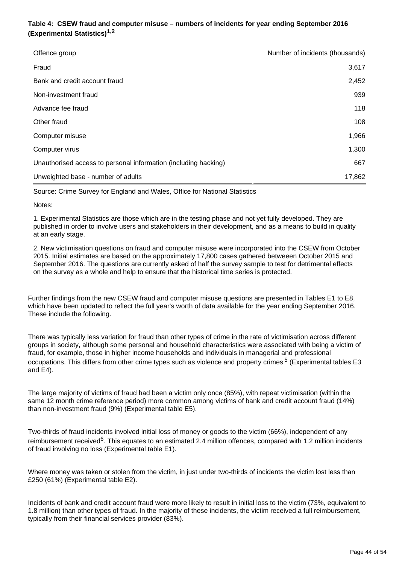#### **Table 4: CSEW fraud and computer misuse – numbers of incidents for year ending September 2016 (Experimental Statistics)1,2**

| Offence group                                                   | Number of incidents (thousands) |
|-----------------------------------------------------------------|---------------------------------|
| Fraud                                                           | 3,617                           |
| Bank and credit account fraud                                   | 2,452                           |
| Non-investment fraud                                            | 939                             |
| Advance fee fraud                                               | 118                             |
| Other fraud                                                     | 108                             |
| Computer misuse                                                 | 1,966                           |
| Computer virus                                                  | 1,300                           |
| Unauthorised access to personal information (including hacking) | 667                             |
| Unweighted base - number of adults                              | 17,862                          |

Source: Crime Survey for England and Wales, Office for National Statistics

Notes:

1. Experimental Statistics are those which are in the testing phase and not yet fully developed. They are published in order to involve users and stakeholders in their development, and as a means to build in quality at an early stage.

2. New victimisation questions on fraud and computer misuse were incorporated into the CSEW from October 2015. Initial estimates are based on the approximately 17,800 cases gathered betweeen October 2015 and September 2016. The questions are currently asked of half the survey sample to test for detrimental effects on the survey as a whole and help to ensure that the historical time series is protected.

Further findings from the new CSEW fraud and computer misuse questions are presented in Tables E1 to E8, which have been updated to reflect the full year's worth of data available for the year ending September 2016. These include the following.

There was typically less variation for fraud than other types of crime in the rate of victimisation across different groups in society, although some personal and household characteristics were associated with being a victim of fraud, for example, those in higher income households and individuals in managerial and professional occupations. This differs from other crime types such as violence and property crimes <sup>5</sup> (Experimental tables E3 and E4).

The large majority of victims of fraud had been a victim only once (85%), with repeat victimisation (within the same 12 month crime reference period) more common among victims of bank and credit account fraud (14%) than non-investment fraud (9%) (Experimental table E5).

Two-thirds of fraud incidents involved initial loss of money or goods to the victim (66%), independent of any reimbursement received<sup>6</sup>. This equates to an estimated 2.4 million offences, compared with 1.2 million incidents of fraud involving no loss (Experimental table E1).

Where money was taken or stolen from the victim, in just under two-thirds of incidents the victim lost less than £250 (61%) (Experimental table E2).

Incidents of bank and credit account fraud were more likely to result in initial loss to the victim (73%, equivalent to 1.8 million) than other types of fraud. In the majority of these incidents, the victim received a full reimbursement, typically from their financial services provider (83%).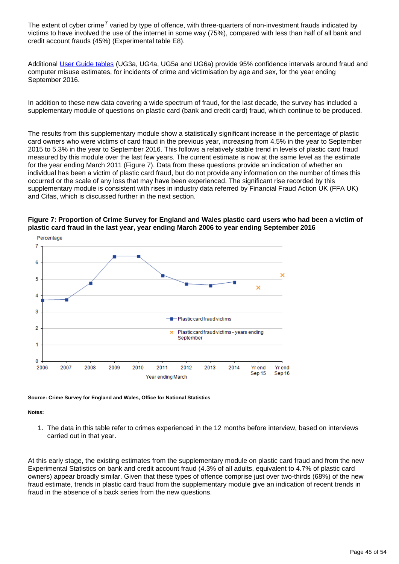The extent of cyber crime<sup>7</sup> varied by type of offence, with three-quarters of non-investment frauds indicated by victims to have involved the use of the internet in some way (75%), compared with less than half of all bank and credit account frauds (45%) (Experimental table E8).

Additional [User Guide tables](https://www.ons.gov.uk/peoplepopulationandcommunity/crimeandjustice/methodologies/crimeandjusticemethodology#user-guides) (UG3a, UG4a, UG5a and UG6a) provide 95% confidence intervals around fraud and computer misuse estimates, for incidents of crime and victimisation by age and sex, for the year ending September 2016.

In addition to these new data covering a wide spectrum of fraud, for the last decade, the survey has included a supplementary module of questions on plastic card (bank and credit card) fraud, which continue to be produced.

The results from this supplementary module show a statistically significant increase in the percentage of plastic card owners who were victims of card fraud in the previous year, increasing from 4.5% in the year to September 2015 to 5.3% in the year to September 2016. This follows a relatively stable trend in levels of plastic card fraud measured by this module over the last few years. The current estimate is now at the same level as the estimate for the year ending March 2011 (Figure 7). Data from these questions provide an indication of whether an individual has been a victim of plastic card fraud, but do not provide any information on the number of times this occurred or the scale of any loss that may have been experienced. The significant rise recorded by this supplementary module is consistent with rises in industry data referred by Financial Fraud Action UK (FFA UK) and Cifas, which is discussed further in the next section.



**Figure 7: Proportion of Crime Survey for England and Wales plastic card users who had been a victim of plastic card fraud in the last year, year ending March 2006 to year ending September 2016**

#### **Source: Crime Survey for England and Wales, Office for National Statistics**

#### **Notes:**

1. The data in this table refer to crimes experienced in the 12 months before interview, based on interviews carried out in that year.

At this early stage, the existing estimates from the supplementary module on plastic card fraud and from the new Experimental Statistics on bank and credit account fraud (4.3% of all adults, equivalent to 4.7% of plastic card owners) appear broadly similar. Given that these types of offence comprise just over two-thirds (68%) of the new fraud estimate, trends in plastic card fraud from the supplementary module give an indication of recent trends in fraud in the absence of a back series from the new questions.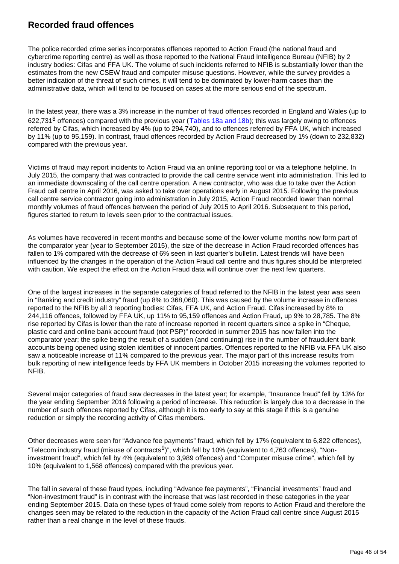### **Recorded fraud offences**

The police recorded crime series incorporates offences reported to Action Fraud (the national fraud and cybercrime reporting centre) as well as those reported to the National Fraud Intelligence Bureau (NFIB) by 2 industry bodies: Cifas and FFA UK. The volume of such incidents referred to NFIB is substantially lower than the estimates from the new CSEW fraud and computer misuse questions. However, while the survey provides a better indication of the threat of such crimes, it will tend to be dominated by lower-harm cases than the administrative data, which will tend to be focused on cases at the more serious end of the spectrum.

In the latest year, there was a 3% increase in the number of fraud offences recorded in England and Wales (up to 622,731<sup>8</sup> offences) compared with the previous year ( $\overline{Tables}$  18a and 18b); this was largely owing to offences referred by Cifas, which increased by 4% (up to 294,740), and to offences referred by FFA UK, which increased by 11% (up to 95,159). In contrast, fraud offences recorded by Action Fraud decreased by 1% (down to 232,832) compared with the previous year.

Victims of fraud may report incidents to Action Fraud via an online reporting tool or via a telephone helpline. In July 2015, the company that was contracted to provide the call centre service went into administration. This led to an immediate downscaling of the call centre operation. A new contractor, who was due to take over the Action Fraud call centre in April 2016, was asked to take over operations early in August 2015. Following the previous call centre service contractor going into administration in July 2015, Action Fraud recorded lower than normal monthly volumes of fraud offences between the period of July 2015 to April 2016. Subsequent to this period, figures started to return to levels seen prior to the contractual issues.

As volumes have recovered in recent months and because some of the lower volume months now form part of the comparator year (year to September 2015), the size of the decrease in Action Fraud recorded offences has fallen to 1% compared with the decrease of 6% seen in last quarter's bulletin. Latest trends will have been influenced by the changes in the operation of the Action Fraud call centre and thus figures should be interpreted with caution. We expect the effect on the Action Fraud data will continue over the next few quarters.

One of the largest increases in the separate categories of fraud referred to the NFIB in the latest year was seen in "Banking and credit industry" fraud (up 8% to 368,060). This was caused by the volume increase in offences reported to the NFIB by all 3 reporting bodies: Cifas, FFA UK, and Action Fraud. Cifas increased by 8% to 244,116 offences, followed by FFA UK, up 11% to 95,159 offences and Action Fraud, up 9% to 28,785. The 8% rise reported by Cifas is lower than the rate of increase reported in recent quarters since a spike in "Cheque, plastic card and online bank account fraud (not PSP)" recorded in summer 2015 has now fallen into the comparator year; the spike being the result of a sudden (and continuing) rise in the number of fraudulent bank accounts being opened using stolen identities of innocent parties. Offences reported to the NFIB via FFA UK also saw a noticeable increase of 11% compared to the previous year. The major part of this increase results from bulk reporting of new intelligence feeds by FFA UK members in October 2015 increasing the volumes reported to NFIB.

Several major categories of fraud saw decreases in the latest year; for example, "Insurance fraud" fell by 13% for the year ending September 2016 following a period of increase. This reduction is largely due to a decrease in the number of such offences reported by Cifas, although it is too early to say at this stage if this is a genuine reduction or simply the recording activity of Cifas members.

Other decreases were seen for "Advance fee payments" fraud, which fell by 17% (equivalent to 6,822 offences), "Telecom industry fraud (misuse of contracts<sup>9</sup>)", which fell by 10% (equivalent to 4,763 offences), "Noninvestment fraud", which fell by 4% (equivalent to 3,989 offences) and "Computer misuse crime", which fell by 10% (equivalent to 1,568 offences) compared with the previous year.

The fall in several of these fraud types, including "Advance fee payments", "Financial investments" fraud and "Non-investment fraud" is in contrast with the increase that was last recorded in these categories in the year ending September 2015. Data on these types of fraud come solely from reports to Action Fraud and therefore the changes seen may be related to the reduction in the capacity of the Action Fraud call centre since August 2015 rather than a real change in the level of these frauds.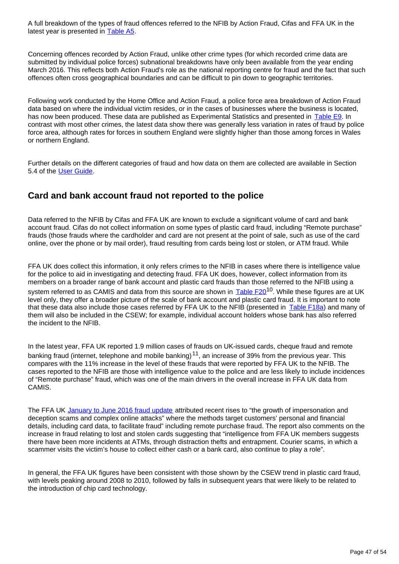A full breakdown of the types of fraud offences referred to the NFIB by Action Fraud, Cifas and FFA UK in the latest year is presented in **Table A5**.

Concerning offences recorded by Action Fraud, unlike other crime types (for which recorded crime data are submitted by individual police forces) subnational breakdowns have only been available from the year ending March 2016. This reflects both Action Fraud's role as the national reporting centre for fraud and the fact that such offences often cross geographical boundaries and can be difficult to pin down to geographic territories.

Following work conducted by the Home Office and Action Fraud, a police force area breakdown of Action Fraud data based on where the individual victim resides, or in the cases of businesses where the business is located, has now been produced. These data are published as Experimental Statistics and presented in [Table E9](https://www.ons.gov.uk/peoplepopulationandcommunity/crimeandjustice/datasets/crimeinenglandandwalesexperimentaltables). In contrast with most other crimes, the latest data show there was generally less variation in rates of fraud by police force area, although rates for forces in southern England were slightly higher than those among forces in Wales or northern England.

Further details on the different categories of fraud and how data on them are collected are available in Section 5.4 of the [User Guide](http://www.ons.gov.uk/peoplepopulationandcommunity/crimeandjustice/methodologies/crimeandjusticemethodology).

### **Card and bank account fraud not reported to the police**

Data referred to the NFIB by Cifas and FFA UK are known to exclude a significant volume of card and bank account fraud. Cifas do not collect information on some types of plastic card fraud, including "Remote purchase" frauds (those frauds where the cardholder and card are not present at the point of sale, such as use of the card online, over the phone or by mail order), fraud resulting from cards being lost or stolen, or ATM fraud. While

FFA UK does collect this information, it only refers crimes to the NFIB in cases where there is intelligence value for the police to aid in investigating and detecting fraud. FFA UK does, however, collect information from its members on a broader range of bank account and plastic card frauds than those referred to the NFIB using a system referred to as CAMIS and data from this source are shown in [Table F20](https://www.ons.gov.uk/peoplepopulationandcommunity/crimeandjustice/datasets/crimeinenglandandwalesbulletintables)<sup>10</sup>. While these figures are at UK level only, they offer a broader picture of the scale of bank account and plastic card fraud. It is important to note that these data also include those cases referred by FFA UK to the NFIB (presented in [Table F18a\)](https://www.ons.gov.uk/peoplepopulationandcommunity/crimeandjustice/datasets/crimeinenglandandwalesbulletintables) and many of them will also be included in the CSEW; for example, individual account holders whose bank has also referred the incident to the NFIB.

In the latest year, FFA UK reported 1.9 million cases of frauds on UK-issued cards, cheque fraud and remote banking fraud (internet, telephone and mobile banking)<sup>11</sup>, an increase of 39% from the previous year. This compares with the 11% increase in the level of these frauds that were reported by FFA UK to the NFIB. The cases reported to the NFIB are those with intelligence value to the police and are less likely to include incidences of "Remote purchase" fraud, which was one of the main drivers in the overall increase in FFA UK data from CAMIS.

The FFA UK [January to June 2016 fraud update](https://www.financialfraudaction.org.uk/wp-content/uploads/2016/07/October-2016-fraud-figures-bulletin-final.pdf) attributed recent rises to "the growth of impersonation and deception scams and complex online attacks" where the methods target customers' personal and financial details, including card data, to facilitate fraud" including remote purchase fraud. The report also comments on the increase in fraud relating to lost and stolen cards suggesting that "intelligence from FFA UK members suggests there have been more incidents at ATMs, through distraction thefts and entrapment. Courier scams, in which a scammer visits the victim's house to collect either cash or a bank card, also continue to play a role".

In general, the FFA UK figures have been consistent with those shown by the CSEW trend in plastic card fraud, with levels peaking around 2008 to 2010, followed by falls in subsequent years that were likely to be related to the introduction of chip card technology.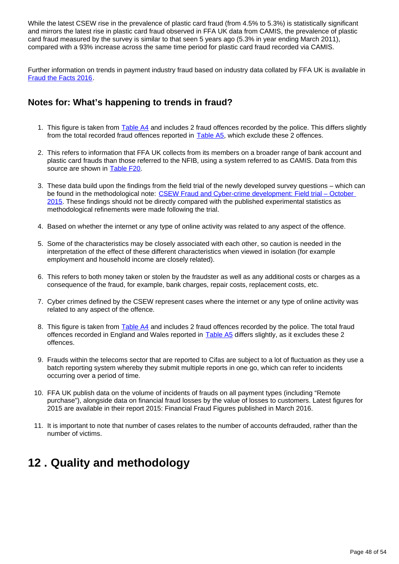While the latest CSEW rise in the prevalence of plastic card fraud (from 4.5% to 5.3%) is statistically significant and mirrors the latest rise in plastic card fraud observed in FFA UK data from CAMIS, the prevalence of plastic card fraud measured by the survey is similar to that seen 5 years ago (5.3% in year ending March 2011), compared with a 93% increase across the same time period for plastic card fraud recorded via CAMIS.

Further information on trends in payment industry fraud based on industry data collated by FFA UK is available in [Fraud the Facts 2016](https://www.financialfraudaction.org.uk/wp-content/uploads/2016/07/Fraud-the-Facts-A5-final.pdf).

### **Notes for: What's happening to trends in fraud?**

- 1. This figure is taken from [Table A4](https://www.ons.gov.uk/peoplepopulationandcommunity/crimeandjustice/datasets/crimeinenglandandwalesappendixtables) and includes 2 fraud offences recorded by the police. This differs slightly from the total recorded fraud offences reported in **[Table A5](https://www.ons.gov.uk/peoplepopulationandcommunity/crimeandjustice/datasets/crimeinenglandandwalesappendixtables)**, which exclude these 2 offences.
- 2. This refers to information that FFA UK collects from its members on a broader range of bank account and plastic card frauds than those referred to the NFIB, using a system referred to as CAMIS. Data from this source are shown in [Table F20.](https://www.ons.gov.uk/peoplepopulationandcommunity/crimeandjustice/datasets/crimeinenglandandwalesbulletintables)
- 3. These data build upon the findings from the field trial of the newly developed survey questions which can be found in the methodological note: CSEW Fraud and Cyber-crime development: Field trial - October [2015](http://www.ons.gov.uk/peoplepopulationandcommunity/crimeandjustice/methodologies/crimeandjusticemethodology#methodological-notes). These findings should not be directly compared with the published experimental statistics as methodological refinements were made following the trial.
- 4. Based on whether the internet or any type of online activity was related to any aspect of the offence.
- 5. Some of the characteristics may be closely associated with each other, so caution is needed in the interpretation of the effect of these different characteristics when viewed in isolation (for example employment and household income are closely related).
- 6. This refers to both money taken or stolen by the fraudster as well as any additional costs or charges as a consequence of the fraud, for example, bank charges, repair costs, replacement costs, etc.
- 7. Cyber crimes defined by the CSEW represent cases where the internet or any type of online activity was related to any aspect of the offence.
- 8. This figure is taken from [Table A4](https://www.ons.gov.uk/peoplepopulationandcommunity/crimeandjustice/datasets/crimeinenglandandwalesappendixtables) and includes 2 fraud offences recorded by the police. The total fraud offences recorded in England and Wales reported in [Table A5](https://www.ons.gov.uk/peoplepopulationandcommunity/crimeandjustice/datasets/crimeinenglandandwalesappendixtables) differs slightly, as it excludes these 2 offences.
- 9. Frauds within the telecoms sector that are reported to Cifas are subject to a lot of fluctuation as they use a batch reporting system whereby they submit multiple reports in one go, which can refer to incidents occurring over a period of time.
- 10. FFA UK publish data on the volume of incidents of frauds on all payment types (including "Remote purchase"), alongside data on financial fraud losses by the value of losses to customers. Latest figures for 2015 are available in their report 2015: Financial Fraud Figures published in March 2016.
- 11. It is important to note that number of cases relates to the number of accounts defrauded, rather than the number of victims.

## <span id="page-47-0"></span>**12 . Quality and methodology**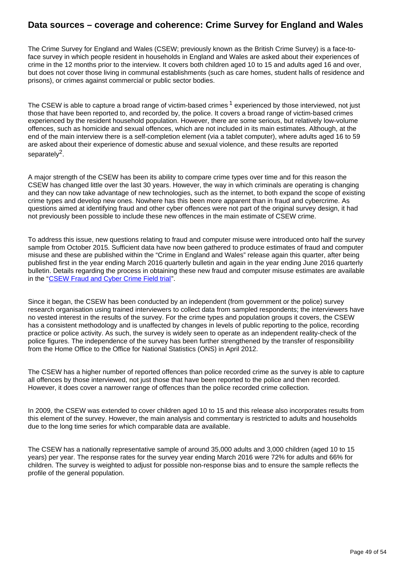#### **Data sources – coverage and coherence: Crime Survey for England and Wales**

The Crime Survey for England and Wales (CSEW; previously known as the British Crime Survey) is a face-toface survey in which people resident in households in England and Wales are asked about their experiences of crime in the 12 months prior to the interview. It covers both children aged 10 to 15 and adults aged 16 and over, but does not cover those living in communal establishments (such as care homes, student halls of residence and prisons), or crimes against commercial or public sector bodies.

The CSEW is able to capture a broad range of victim-based crimes  $1$  experienced by those interviewed, not just those that have been reported to, and recorded by, the police. It covers a broad range of victim-based crimes experienced by the resident household population. However, there are some serious, but relatively low-volume offences, such as homicide and sexual offences, which are not included in its main estimates. Although, at the end of the main interview there is a self-completion element (via a tablet computer), where adults aged 16 to 59 are asked about their experience of domestic abuse and sexual violence, and these results are reported separately<sup>2</sup>.

A major strength of the CSEW has been its ability to compare crime types over time and for this reason the CSEW has changed little over the last 30 years. However, the way in which criminals are operating is changing and they can now take advantage of new technologies, such as the internet, to both expand the scope of existing crime types and develop new ones. Nowhere has this been more apparent than in fraud and cybercrime. As questions aimed at identifying fraud and other cyber offences were not part of the original survey design, it had not previously been possible to include these new offences in the main estimate of CSEW crime.

To address this issue, new questions relating to fraud and computer misuse were introduced onto half the survey sample from October 2015. Sufficient data have now been gathered to produce estimates of fraud and computer misuse and these are published within the "Crime in England and Wales" release again this quarter, after being published first in the year ending March 2016 quarterly bulletin and again in the year ending June 2016 quarterly bulletin. Details regarding the process in obtaining these new fraud and computer misuse estimates are available in the "[CSEW Fraud and Cyber Crime Field trial"](https://www.ons.gov.uk/peoplepopulationandcommunity/crimeandjustice/methodologies/crimeandjusticemethodology#methodological-notes).

Since it began, the CSEW has been conducted by an independent (from government or the police) survey research organisation using trained interviewers to collect data from sampled respondents; the interviewers have no vested interest in the results of the survey. For the crime types and population groups it covers, the CSEW has a consistent methodology and is unaffected by changes in levels of public reporting to the police, recording practice or police activity. As such, the survey is widely seen to operate as an independent reality-check of the police figures. The independence of the survey has been further strengthened by the transfer of responsibility from the Home Office to the Office for National Statistics (ONS) in April 2012.

The CSEW has a higher number of reported offences than police recorded crime as the survey is able to capture all offences by those interviewed, not just those that have been reported to the police and then recorded. However, it does cover a narrower range of offences than the police recorded crime collection.

In 2009, the CSEW was extended to cover children aged 10 to 15 and this release also incorporates results from this element of the survey. However, the main analysis and commentary is restricted to adults and households due to the long time series for which comparable data are available.

The CSEW has a nationally representative sample of around 35,000 adults and 3,000 children (aged 10 to 15 years) per year. The response rates for the survey year ending March 2016 were 72% for adults and 66% for children. The survey is weighted to adjust for possible non-response bias and to ensure the sample reflects the profile of the general population.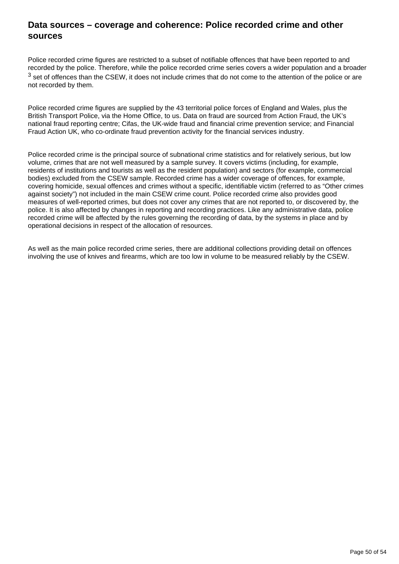#### **Data sources – coverage and coherence: Police recorded crime and other sources**

Police recorded crime figures are restricted to a subset of notifiable offences that have been reported to and recorded by the police. Therefore, while the police recorded crime series covers a wider population and a broader  $3$  set of offences than the CSEW, it does not include crimes that do not come to the attention of the police or are not recorded by them.

Police recorded crime figures are supplied by the 43 territorial police forces of England and Wales, plus the British Transport Police, via the Home Office, to us. Data on fraud are sourced from Action Fraud, the UK's national fraud reporting centre; Cifas, the UK-wide fraud and financial crime prevention service; and Financial Fraud Action UK, who co-ordinate fraud prevention activity for the financial services industry.

Police recorded crime is the principal source of subnational crime statistics and for relatively serious, but low volume, crimes that are not well measured by a sample survey. It covers victims (including, for example, residents of institutions and tourists as well as the resident population) and sectors (for example, commercial bodies) excluded from the CSEW sample. Recorded crime has a wider coverage of offences, for example, covering homicide, sexual offences and crimes without a specific, identifiable victim (referred to as "Other crimes against society") not included in the main CSEW crime count. Police recorded crime also provides good measures of well-reported crimes, but does not cover any crimes that are not reported to, or discovered by, the police. It is also affected by changes in reporting and recording practices. Like any administrative data, police recorded crime will be affected by the rules governing the recording of data, by the systems in place and by operational decisions in respect of the allocation of resources.

As well as the main police recorded crime series, there are additional collections providing detail on offences involving the use of knives and firearms, which are too low in volume to be measured reliably by the CSEW.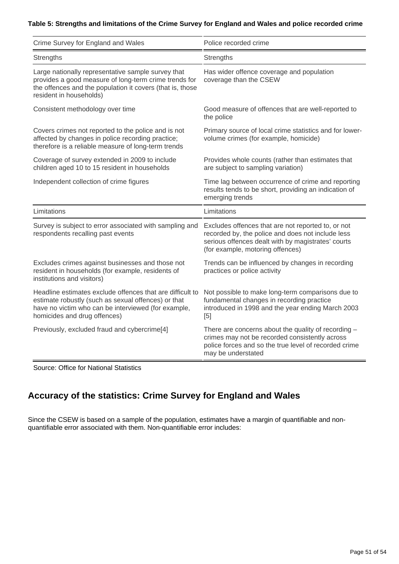#### **Table 5: Strengths and limitations of the Crime Survey for England and Wales and police recorded crime**

| Crime Survey for England and Wales                                                                                                                                                                      | Police recorded crime                                                                                                                                                                             |
|---------------------------------------------------------------------------------------------------------------------------------------------------------------------------------------------------------|---------------------------------------------------------------------------------------------------------------------------------------------------------------------------------------------------|
| Strengths                                                                                                                                                                                               | Strengths                                                                                                                                                                                         |
| Large nationally representative sample survey that<br>provides a good measure of long-term crime trends for<br>the offences and the population it covers (that is, those<br>resident in households)     | Has wider offence coverage and population<br>coverage than the CSEW                                                                                                                               |
| Consistent methodology over time                                                                                                                                                                        | Good measure of offences that are well-reported to<br>the police                                                                                                                                  |
| Covers crimes not reported to the police and is not<br>affected by changes in police recording practice;<br>therefore is a reliable measure of long-term trends                                         | Primary source of local crime statistics and for lower-<br>volume crimes (for example, homicide)                                                                                                  |
| Coverage of survey extended in 2009 to include<br>children aged 10 to 15 resident in households                                                                                                         | Provides whole counts (rather than estimates that<br>are subject to sampling variation)                                                                                                           |
| Independent collection of crime figures                                                                                                                                                                 | Time lag between occurrence of crime and reporting<br>results tends to be short, providing an indication of<br>emerging trends                                                                    |
| Limitations                                                                                                                                                                                             | Limitations                                                                                                                                                                                       |
| Survey is subject to error associated with sampling and<br>respondents recalling past events                                                                                                            | Excludes offences that are not reported to, or not<br>recorded by, the police and does not include less<br>serious offences dealt with by magistrates' courts<br>(for example, motoring offences) |
| Excludes crimes against businesses and those not<br>resident in households (for example, residents of<br>institutions and visitors)                                                                     | Trends can be influenced by changes in recording<br>practices or police activity                                                                                                                  |
| Headline estimates exclude offences that are difficult to<br>estimate robustly (such as sexual offences) or that<br>have no victim who can be interviewed (for example,<br>homicides and drug offences) | Not possible to make long-term comparisons due to<br>fundamental changes in recording practice<br>introduced in 1998 and the year ending March 2003<br>[5]                                        |
| Previously, excluded fraud and cybercrime[4]                                                                                                                                                            | There are concerns about the quality of recording -<br>crimes may not be recorded consistently across<br>police forces and so the true level of recorded crime<br>may be understated              |

Source: Office for National Statistics

## **Accuracy of the statistics: Crime Survey for England and Wales**

Since the CSEW is based on a sample of the population, estimates have a margin of quantifiable and nonquantifiable error associated with them. Non-quantifiable error includes: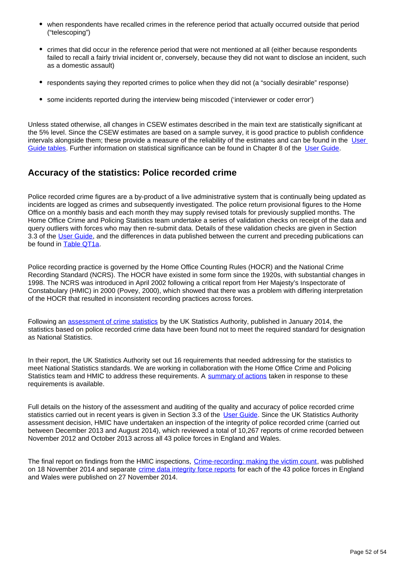- when respondents have recalled crimes in the reference period that actually occurred outside that period ("telescoping")
- crimes that did occur in the reference period that were not mentioned at all (either because respondents failed to recall a fairly trivial incident or, conversely, because they did not want to disclose an incident, such as a domestic assault)
- respondents saying they reported crimes to police when they did not (a "socially desirable" response)
- some incidents reported during the interview being miscoded ('interviewer or coder error')

Unless stated otherwise, all changes in CSEW estimates described in the main text are statistically significant at the 5% level. Since the CSEW estimates are based on a sample survey, it is good practice to publish confidence intervals alongside them; these provide a measure of the reliability of the estimates and can be found in the User [Guide tables.](http://www.ons.gov.uk/peoplepopulationandcommunity/crimeandjustice/methodologies/crimeandjusticemethodology) Further information on statistical significance can be found in Chapter 8 of the [User Guide](http://www.ons.gov.uk/peoplepopulationandcommunity/crimeandjustice/methodologies/crimeandjusticemethodology).

### **Accuracy of the statistics: Police recorded crime**

Police recorded crime figures are a by-product of a live administrative system that is continually being updated as incidents are logged as crimes and subsequently investigated. The police return provisional figures to the Home Office on a monthly basis and each month they may supply revised totals for previously supplied months. The Home Office Crime and Policing Statistics team undertake a series of validation checks on receipt of the data and query outliers with forces who may then re-submit data. Details of these validation checks are given in Section 3.3 of the [User Guide](http://www.ons.gov.uk/peoplepopulationandcommunity/crimeandjustice/methodologies/crimeandjusticemethodology), and the differences in data published between the current and preceding publications can be found in [Table QT1a](https://www.ons.gov.uk/peoplepopulationandcommunity/crimeandjustice/datasets/crimeinenglandandwalesquarterlydatatables).

Police recording practice is governed by the Home Office Counting Rules (HOCR) and the National Crime Recording Standard (NCRS). The HOCR have existed in some form since the 1920s, with substantial changes in 1998. The NCRS was introduced in April 2002 following a critical report from Her Majesty's Inspectorate of Constabulary (HMIC) in 2000 (Povey, 2000), which showed that there was a problem with differing interpretation of the HOCR that resulted in inconsistent recording practices across forces.

Following an [assessment of crime statistics](http://www.statisticsauthority.gov.uk/assessment/assessment/assessment-reports/assessment-report-268---statistics-on-crime-in-england-and-wales.pdf) by the UK Statistics Authority, published in January 2014, the statistics based on police recorded crime data have been found not to meet the required standard for designation as National Statistics.

In their report, the UK Statistics Authority set out 16 requirements that needed addressing for the statistics to meet National Statistics standards. We are working in collaboration with the Home Office Crime and Policing Statistics team and HMIC to address these requirements. A [summary of actions](https://www.ons.gov.uk/peoplepopulationandcommunity/crimeandjustice/methodologies/crimeandjusticemethodology) taken in response to these requirements is available.

Full details on the history of the assessment and auditing of the quality and accuracy of police recorded crime statistics carried out in recent years is given in Section 3.3 of the [User Guide.](http://www.ons.gov.uk/peoplepopulationandcommunity/crimeandjustice/methodologies/crimeandjusticemethodology) Since the UK Statistics Authority assessment decision, HMIC have undertaken an inspection of the integrity of police recorded crime (carried out between December 2013 and August 2014), which reviewed a total of 10,267 reports of crime recorded between November 2012 and October 2013 across all 43 police forces in England and Wales.

The final report on findings from the HMIC inspections, [Crime-recording: making the victim count](https://www.justiceinspectorates.gov.uk/hmic/publication/crime-recording-making-the-victim-count/), was published on 18 November 2014 and separate [crime data integrity force reports](https://www.justiceinspectorates.gov.uk/hmic/publication/crime-data-integrity-force-reports/) for each of the 43 police forces in England and Wales were published on 27 November 2014.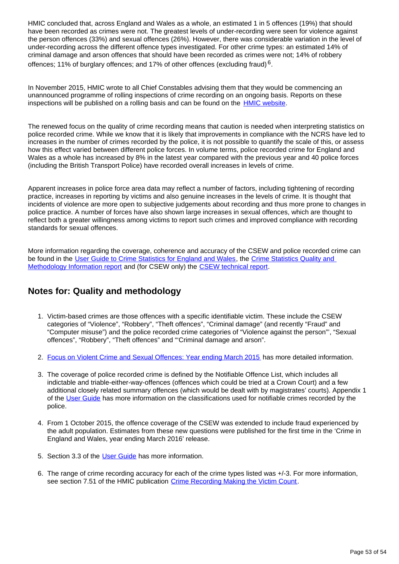HMIC concluded that, across England and Wales as a whole, an estimated 1 in 5 offences (19%) that should have been recorded as crimes were not. The greatest levels of under-recording were seen for violence against the person offences (33%) and sexual offences (26%). However, there was considerable variation in the level of under-recording across the different offence types investigated. For other crime types: an estimated 14% of criminal damage and arson offences that should have been recorded as crimes were not; 14% of robbery offences; 11% of burglary offences; and 17% of other offences (excluding fraud)  $6$ .

In November 2015, HMIC wrote to all Chief Constables advising them that they would be commencing an unannounced programme of rolling inspections of crime recording on an ongoing basis. Reports on these inspections will be published on a rolling basis and can be found on the [HMIC website](https://www.justiceinspectorates.gov.uk/hmic/publications/rolling-cdi-programme-reports/).

The renewed focus on the quality of crime recording means that caution is needed when interpreting statistics on police recorded crime. While we know that it is likely that improvements in compliance with the NCRS have led to increases in the number of crimes recorded by the police, it is not possible to quantify the scale of this, or assess how this effect varied between different police forces. In volume terms, police recorded crime for England and Wales as a whole has increased by 8% in the latest year compared with the previous year and 40 police forces (including the British Transport Police) have recorded overall increases in levels of crime.

Apparent increases in police force area data may reflect a number of factors, including tightening of recording practice, increases in reporting by victims and also genuine increases in the levels of crime. It is thought that incidents of violence are more open to subjective judgements about recording and thus more prone to changes in police practice. A number of forces have also shown large increases in sexual offences, which are thought to reflect both a greater willingness among victims to report such crimes and improved compliance with recording standards for sexual offences.

More information regarding the coverage, coherence and accuracy of the CSEW and police recorded crime can be found in the [User Guide to Crime Statistics for England and Wales](http://www.ons.gov.uk/peoplepopulationandcommunity/crimeandjustice/methodologies/crimeandjusticemethodology), the Crime Statistics Quality and [Methodology Information report](http://www.ons.gov.uk/peoplepopulationandcommunity/crimeandjustice/qmis/crimeandjusticeqmi) and (for CSEW only) the [CSEW technical report.](http://www.ons.gov.uk/peoplepopulationandcommunity/crimeandjustice/methodologies/crimeandjusticemethodology)

### **Notes for: Quality and methodology**

- 1. Victim-based crimes are those offences with a specific identifiable victim. These include the CSEW categories of "Violence", "Robbery", "Theft offences", "Criminal damage" (and recently "Fraud" and "Computer misuse") and the police recorded crime categories of "Violence against the person"', "Sexual offences", "Robbery", "Theft offences" and "'Criminal damage and arson".
- 2. [Focus on Violent Crime and Sexual Offences: Year ending March 2015](http://www.ons.gov.uk/peoplepopulationandcommunity/crimeandjustice/compendium/focusonviolentcrimeandsexualoffences/yearendingmarch2015) has more detailed information.
- 3. The coverage of police recorded crime is defined by the Notifiable Offence List, which includes all indictable and triable-either-way-offences (offences which could be tried at a Crown Court) and a few additional closely related summary offences (which would be dealt with by magistrates' courts). Appendix 1 of the [User Guide](http://www.ons.gov.uk/peoplepopulationandcommunity/crimeandjustice/methodologies/crimeandjusticemethodology) has more information on the classifications used for notifiable crimes recorded by the police.
- 4. From 1 October 2015, the offence coverage of the CSEW was extended to include fraud experienced by the adult population. Estimates from these new questions were published for the first time in the 'Crime in England and Wales, year ending March 2016' release.
- 5. Section 3.3 of the [User Guide](http://www.ons.gov.uk/peoplepopulationandcommunity/crimeandjustice/methodologies/crimeandjusticemethodology) has more information.
- 6. The range of crime recording accuracy for each of the crime types listed was +/-3. For more information, see section 7.51 of the HMIC publication [Crime Recording Making the Victim Count.](https://www.justiceinspectorates.gov.uk/hmic/publications/crime-recording-making-the-victim-count/)